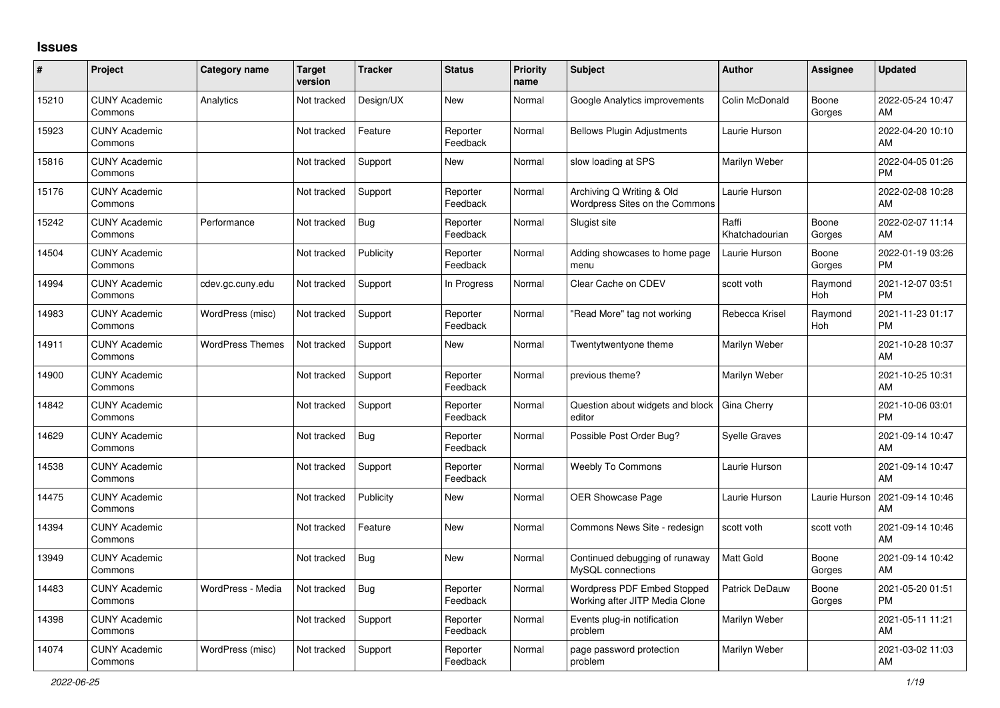## **Issues**

| $\vert$ # | Project                         | <b>Category name</b>    | <b>Target</b><br>version | <b>Tracker</b> | <b>Status</b>        | <b>Priority</b><br>name | <b>Subject</b>                                                | Author                  | <b>Assignee</b> | <b>Updated</b>                |
|-----------|---------------------------------|-------------------------|--------------------------|----------------|----------------------|-------------------------|---------------------------------------------------------------|-------------------------|-----------------|-------------------------------|
| 15210     | <b>CUNY Academic</b><br>Commons | Analytics               | Not tracked              | Design/UX      | <b>New</b>           | Normal                  | Google Analytics improvements                                 | Colin McDonald          | Boone<br>Gorges | 2022-05-24 10:47<br>AM        |
| 15923     | <b>CUNY Academic</b><br>Commons |                         | Not tracked              | Feature        | Reporter<br>Feedback | Normal                  | <b>Bellows Plugin Adjustments</b>                             | Laurie Hurson           |                 | 2022-04-20 10:10<br>AM        |
| 15816     | <b>CUNY Academic</b><br>Commons |                         | Not tracked              | Support        | New                  | Normal                  | slow loading at SPS                                           | Marilyn Weber           |                 | 2022-04-05 01:26<br><b>PM</b> |
| 15176     | <b>CUNY Academic</b><br>Commons |                         | Not tracked              | Support        | Reporter<br>Feedback | Normal                  | Archiving Q Writing & Old<br>Wordpress Sites on the Commons   | Laurie Hurson           |                 | 2022-02-08 10:28<br>AM        |
| 15242     | <b>CUNY Academic</b><br>Commons | Performance             | Not tracked              | <b>Bug</b>     | Reporter<br>Feedback | Normal                  | Slugist site                                                  | Raffi<br>Khatchadourian | Boone<br>Gorges | 2022-02-07 11:14<br>AM        |
| 14504     | <b>CUNY Academic</b><br>Commons |                         | Not tracked              | Publicity      | Reporter<br>Feedback | Normal                  | Adding showcases to home page<br>menu                         | Laurie Hurson           | Boone<br>Gorges | 2022-01-19 03:26<br><b>PM</b> |
| 14994     | <b>CUNY Academic</b><br>Commons | cdev.gc.cuny.edu        | Not tracked              | Support        | In Progress          | Normal                  | Clear Cache on CDEV                                           | scott voth              | Raymond<br>Hoh  | 2021-12-07 03:51<br><b>PM</b> |
| 14983     | <b>CUNY Academic</b><br>Commons | WordPress (misc)        | Not tracked              | Support        | Reporter<br>Feedback | Normal                  | 'Read More" tag not working                                   | Rebecca Krisel          | Raymond<br>Hoh  | 2021-11-23 01:17<br><b>PM</b> |
| 14911     | <b>CUNY Academic</b><br>Commons | <b>WordPress Themes</b> | Not tracked              | Support        | <b>New</b>           | Normal                  | Twentytwentyone theme                                         | Marilyn Weber           |                 | 2021-10-28 10:37<br>AM        |
| 14900     | <b>CUNY Academic</b><br>Commons |                         | Not tracked              | Support        | Reporter<br>Feedback | Normal                  | previous theme?                                               | Marilyn Weber           |                 | 2021-10-25 10:31<br>AM        |
| 14842     | <b>CUNY Academic</b><br>Commons |                         | Not tracked              | Support        | Reporter<br>Feedback | Normal                  | Question about widgets and block<br>editor                    | Gina Cherry             |                 | 2021-10-06 03:01<br><b>PM</b> |
| 14629     | <b>CUNY Academic</b><br>Commons |                         | Not tracked              | Bug            | Reporter<br>Feedback | Normal                  | Possible Post Order Bug?                                      | <b>Syelle Graves</b>    |                 | 2021-09-14 10:47<br>AM        |
| 14538     | <b>CUNY Academic</b><br>Commons |                         | Not tracked              | Support        | Reporter<br>Feedback | Normal                  | <b>Weebly To Commons</b>                                      | Laurie Hurson           |                 | 2021-09-14 10:47<br>AM        |
| 14475     | <b>CUNY Academic</b><br>Commons |                         | Not tracked              | Publicity      | <b>New</b>           | Normal                  | <b>OER Showcase Page</b>                                      | Laurie Hurson           | Laurie Hurson   | 2021-09-14 10:46<br>AM        |
| 14394     | <b>CUNY Academic</b><br>Commons |                         | Not tracked              | Feature        | New                  | Normal                  | Commons News Site - redesign                                  | scott voth              | scott voth      | 2021-09-14 10:46<br>AM        |
| 13949     | <b>CUNY Academic</b><br>Commons |                         | Not tracked              | Bug            | <b>New</b>           | Normal                  | Continued debugging of runaway<br>MySQL connections           | <b>Matt Gold</b>        | Boone<br>Gorges | 2021-09-14 10:42<br>AM        |
| 14483     | <b>CUNY Academic</b><br>Commons | WordPress - Media       | Not tracked              | Bug            | Reporter<br>Feedback | Normal                  | Wordpress PDF Embed Stopped<br>Working after JITP Media Clone | Patrick DeDauw          | Boone<br>Gorges | 2021-05-20 01:51<br><b>PM</b> |
| 14398     | <b>CUNY Academic</b><br>Commons |                         | Not tracked              | Support        | Reporter<br>Feedback | Normal                  | Events plug-in notification<br>problem                        | Marilyn Weber           |                 | 2021-05-11 11:21<br>AM        |
| 14074     | <b>CUNY Academic</b><br>Commons | WordPress (misc)        | Not tracked              | Support        | Reporter<br>Feedback | Normal                  | page password protection<br>problem                           | Marilyn Weber           |                 | 2021-03-02 11:03<br>AM        |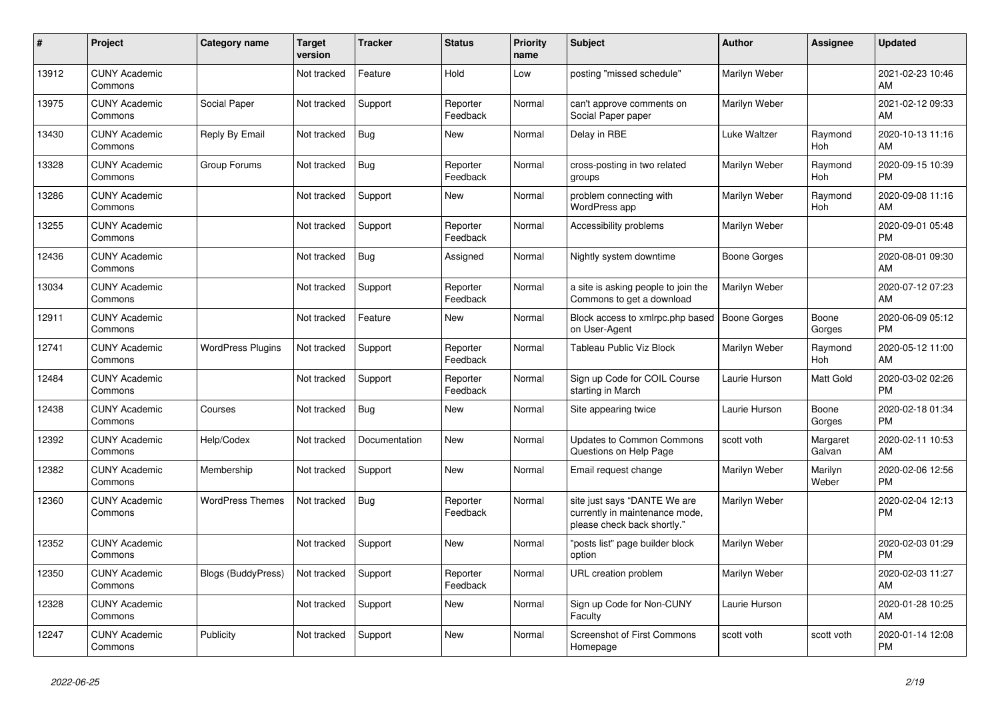| $\pmb{\sharp}$ | <b>Project</b>                  | <b>Category name</b>      | <b>Target</b><br>version | Tracker       | <b>Status</b>        | <b>Priority</b><br>name | <b>Subject</b>                                                                                | <b>Author</b>       | <b>Assignee</b>       | <b>Updated</b>                |
|----------------|---------------------------------|---------------------------|--------------------------|---------------|----------------------|-------------------------|-----------------------------------------------------------------------------------------------|---------------------|-----------------------|-------------------------------|
| 13912          | <b>CUNY Academic</b><br>Commons |                           | Not tracked              | Feature       | Hold                 | Low                     | posting "missed schedule"                                                                     | Marilyn Weber       |                       | 2021-02-23 10:46<br>AM        |
| 13975          | <b>CUNY Academic</b><br>Commons | Social Paper              | Not tracked              | Support       | Reporter<br>Feedback | Normal                  | can't approve comments on<br>Social Paper paper                                               | Marilyn Weber       |                       | 2021-02-12 09:33<br>AM        |
| 13430          | <b>CUNY Academic</b><br>Commons | Reply By Email            | Not tracked              | Bug           | New                  | Normal                  | Delay in RBE                                                                                  | Luke Waltzer        | Raymond<br><b>Hoh</b> | 2020-10-13 11:16<br>AM        |
| 13328          | <b>CUNY Academic</b><br>Commons | Group Forums              | Not tracked              | <b>Bug</b>    | Reporter<br>Feedback | Normal                  | cross-posting in two related<br>groups                                                        | Marilyn Weber       | Raymond<br><b>Hoh</b> | 2020-09-15 10:39<br><b>PM</b> |
| 13286          | <b>CUNY Academic</b><br>Commons |                           | Not tracked              | Support       | New                  | Normal                  | problem connecting with<br>WordPress app                                                      | Marilyn Weber       | Raymond<br>Hoh        | 2020-09-08 11:16<br>AM        |
| 13255          | <b>CUNY Academic</b><br>Commons |                           | Not tracked              | Support       | Reporter<br>Feedback | Normal                  | Accessibility problems                                                                        | Marilyn Weber       |                       | 2020-09-01 05:48<br><b>PM</b> |
| 12436          | <b>CUNY Academic</b><br>Commons |                           | Not tracked              | <b>Bug</b>    | Assigned             | Normal                  | Nightly system downtime                                                                       | <b>Boone Gorges</b> |                       | 2020-08-01 09:30<br>AM        |
| 13034          | <b>CUNY Academic</b><br>Commons |                           | Not tracked              | Support       | Reporter<br>Feedback | Normal                  | a site is asking people to join the<br>Commons to get a download                              | Marilyn Weber       |                       | 2020-07-12 07:23<br>AM        |
| 12911          | <b>CUNY Academic</b><br>Commons |                           | Not tracked              | Feature       | <b>New</b>           | Normal                  | Block access to xmlrpc.php based<br>on User-Agent                                             | <b>Boone Gorges</b> | Boone<br>Gorges       | 2020-06-09 05:12<br><b>PM</b> |
| 12741          | <b>CUNY Academic</b><br>Commons | <b>WordPress Plugins</b>  | Not tracked              | Support       | Reporter<br>Feedback | Normal                  | Tableau Public Viz Block                                                                      | Marilyn Weber       | Raymond<br>Hoh        | 2020-05-12 11:00<br>AM        |
| 12484          | <b>CUNY Academic</b><br>Commons |                           | Not tracked              | Support       | Reporter<br>Feedback | Normal                  | Sign up Code for COIL Course<br>starting in March                                             | Laurie Hurson       | Matt Gold             | 2020-03-02 02:26<br><b>PM</b> |
| 12438          | <b>CUNY Academic</b><br>Commons | Courses                   | Not tracked              | <b>Bug</b>    | <b>New</b>           | Normal                  | Site appearing twice                                                                          | Laurie Hurson       | Boone<br>Gorges       | 2020-02-18 01:34<br><b>PM</b> |
| 12392          | <b>CUNY Academic</b><br>Commons | Help/Codex                | Not tracked              | Documentation | <b>New</b>           | Normal                  | <b>Updates to Common Commons</b><br>Questions on Help Page                                    | scott voth          | Margaret<br>Galvan    | 2020-02-11 10:53<br>AM        |
| 12382          | <b>CUNY Academic</b><br>Commons | Membership                | Not tracked              | Support       | <b>New</b>           | Normal                  | Email request change                                                                          | Marilyn Weber       | Marilyn<br>Weber      | 2020-02-06 12:56<br><b>PM</b> |
| 12360          | <b>CUNY Academic</b><br>Commons | <b>WordPress Themes</b>   | Not tracked              | Bug           | Reporter<br>Feedback | Normal                  | site just says "DANTE We are<br>currently in maintenance mode,<br>please check back shortly." | Marilyn Weber       |                       | 2020-02-04 12:13<br><b>PM</b> |
| 12352          | <b>CUNY Academic</b><br>Commons |                           | Not tracked              | Support       | <b>New</b>           | Normal                  | "posts list" page builder block<br>option                                                     | Marilyn Weber       |                       | 2020-02-03 01:29<br><b>PM</b> |
| 12350          | <b>CUNY Academic</b><br>Commons | <b>Blogs (BuddyPress)</b> | Not tracked              | Support       | Reporter<br>Feedback | Normal                  | URL creation problem                                                                          | Marilyn Weber       |                       | 2020-02-03 11:27<br>AM        |
| 12328          | <b>CUNY Academic</b><br>Commons |                           | Not tracked              | Support       | New                  | Normal                  | Sign up Code for Non-CUNY<br>Faculty                                                          | Laurie Hurson       |                       | 2020-01-28 10:25<br>AM        |
| 12247          | <b>CUNY Academic</b><br>Commons | Publicity                 | Not tracked              | Support       | <b>New</b>           | Normal                  | <b>Screenshot of First Commons</b><br>Homepage                                                | scott voth          | scott voth            | 2020-01-14 12:08<br><b>PM</b> |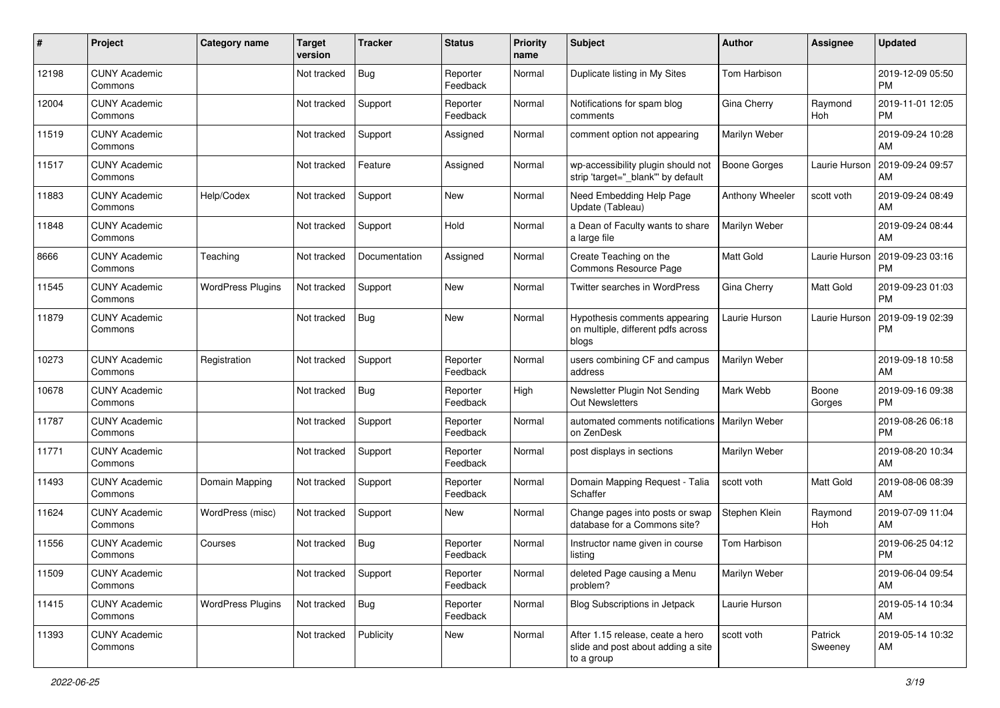| #     | Project                         | <b>Category name</b>     | <b>Target</b><br>version | <b>Tracker</b> | <b>Status</b>        | <b>Priority</b><br>name | <b>Subject</b>                                                                       | <b>Author</b>    | <b>Assignee</b>       | <b>Updated</b>                |
|-------|---------------------------------|--------------------------|--------------------------|----------------|----------------------|-------------------------|--------------------------------------------------------------------------------------|------------------|-----------------------|-------------------------------|
| 12198 | <b>CUNY Academic</b><br>Commons |                          | Not tracked              | <b>Bug</b>     | Reporter<br>Feedback | Normal                  | Duplicate listing in My Sites                                                        | Tom Harbison     |                       | 2019-12-09 05:50<br><b>PM</b> |
| 12004 | <b>CUNY Academic</b><br>Commons |                          | Not tracked              | Support        | Reporter<br>Feedback | Normal                  | Notifications for spam blog<br>comments                                              | Gina Cherry      | Raymond<br><b>Hoh</b> | 2019-11-01 12:05<br><b>PM</b> |
| 11519 | <b>CUNY Academic</b><br>Commons |                          | Not tracked              | Support        | Assigned             | Normal                  | comment option not appearing                                                         | Marilyn Weber    |                       | 2019-09-24 10:28<br>AM        |
| 11517 | <b>CUNY Academic</b><br>Commons |                          | Not tracked              | Feature        | Assigned             | Normal                  | wp-accessibility plugin should not<br>strip 'target="_blank" by default              | Boone Gorges     | Laurie Hurson         | 2019-09-24 09:57<br>AM        |
| 11883 | <b>CUNY Academic</b><br>Commons | Help/Codex               | Not tracked              | Support        | New                  | Normal                  | Need Embedding Help Page<br>Update (Tableau)                                         | Anthony Wheeler  | scott voth            | 2019-09-24 08:49<br>AM        |
| 11848 | <b>CUNY Academic</b><br>Commons |                          | Not tracked              | Support        | Hold                 | Normal                  | a Dean of Faculty wants to share<br>a large file                                     | Marilyn Weber    |                       | 2019-09-24 08:44<br>AM        |
| 8666  | <b>CUNY Academic</b><br>Commons | Teaching                 | Not tracked              | Documentation  | Assigned             | Normal                  | Create Teaching on the<br>Commons Resource Page                                      | <b>Matt Gold</b> | Laurie Hurson         | 2019-09-23 03:16<br><b>PM</b> |
| 11545 | <b>CUNY Academic</b><br>Commons | <b>WordPress Plugins</b> | Not tracked              | Support        | <b>New</b>           | Normal                  | Twitter searches in WordPress                                                        | Gina Cherry      | Matt Gold             | 2019-09-23 01:03<br><b>PM</b> |
| 11879 | <b>CUNY Academic</b><br>Commons |                          | Not tracked              | <b>Bug</b>     | New                  | Normal                  | Hypothesis comments appearing<br>on multiple, different pdfs across<br>blogs         | Laurie Hurson    | Laurie Hurson         | 2019-09-19 02:39<br>PM        |
| 10273 | <b>CUNY Academic</b><br>Commons | Registration             | Not tracked              | Support        | Reporter<br>Feedback | Normal                  | users combining CF and campus<br>address                                             | Marilyn Weber    |                       | 2019-09-18 10:58<br>AM        |
| 10678 | <b>CUNY Academic</b><br>Commons |                          | Not tracked              | <b>Bug</b>     | Reporter<br>Feedback | High                    | Newsletter Plugin Not Sending<br><b>Out Newsletters</b>                              | Mark Webb        | Boone<br>Gorges       | 2019-09-16 09:38<br><b>PM</b> |
| 11787 | <b>CUNY Academic</b><br>Commons |                          | Not tracked              | Support        | Reporter<br>Feedback | Normal                  | automated comments notifications<br>on ZenDesk                                       | Marilyn Weber    |                       | 2019-08-26 06:18<br><b>PM</b> |
| 11771 | <b>CUNY Academic</b><br>Commons |                          | Not tracked              | Support        | Reporter<br>Feedback | Normal                  | post displays in sections                                                            | Marilyn Weber    |                       | 2019-08-20 10:34<br>AM        |
| 11493 | <b>CUNY Academic</b><br>Commons | Domain Mapping           | Not tracked              | Support        | Reporter<br>Feedback | Normal                  | Domain Mapping Request - Talia<br>Schaffer                                           | scott voth       | <b>Matt Gold</b>      | 2019-08-06 08:39<br>AM        |
| 11624 | <b>CUNY Academic</b><br>Commons | WordPress (misc)         | Not tracked              | Support        | New                  | Normal                  | Change pages into posts or swap<br>database for a Commons site?                      | Stephen Klein    | Raymond<br>Hoh        | 2019-07-09 11:04<br>AM        |
| 11556 | <b>CUNY Academic</b><br>Commons | Courses                  | Not tracked              | <b>Bug</b>     | Reporter<br>Feedback | Normal                  | Instructor name given in course<br>listing                                           | Tom Harbison     |                       | 2019-06-25 04:12<br><b>PM</b> |
| 11509 | <b>CUNY Academic</b><br>Commons |                          | Not tracked              | Support        | Reporter<br>Feedback | Normal                  | deleted Page causing a Menu<br>problem?                                              | Marilyn Weber    |                       | 2019-06-04 09:54<br>AM        |
| 11415 | <b>CUNY Academic</b><br>Commons | <b>WordPress Plugins</b> | Not tracked              | <b>Bug</b>     | Reporter<br>Feedback | Normal                  | <b>Blog Subscriptions in Jetpack</b>                                                 | Laurie Hurson    |                       | 2019-05-14 10:34<br>AM        |
| 11393 | <b>CUNY Academic</b><br>Commons |                          | Not tracked              | Publicity      | New                  | Normal                  | After 1.15 release, ceate a hero<br>slide and post about adding a site<br>to a group | scott voth       | Patrick<br>Sweeney    | 2019-05-14 10:32<br>AM        |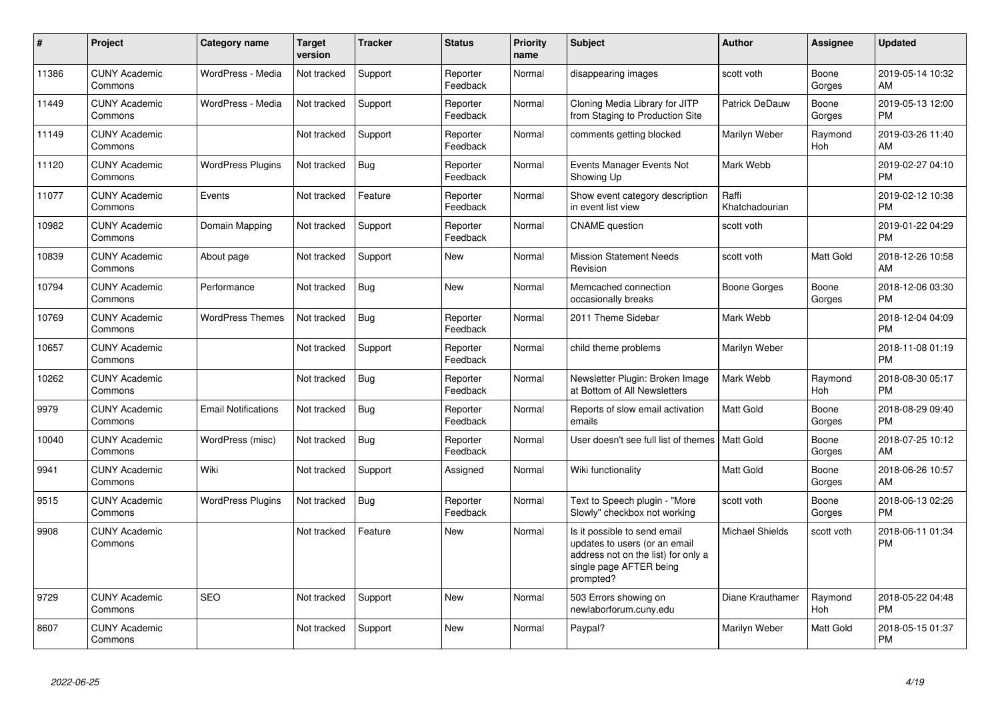| #     | Project                         | <b>Category name</b>       | <b>Target</b><br>version | <b>Tracker</b> | <b>Status</b>        | <b>Priority</b><br>name | <b>Subject</b>                                                                                                                               | <b>Author</b>           | Assignee              | <b>Updated</b>                |
|-------|---------------------------------|----------------------------|--------------------------|----------------|----------------------|-------------------------|----------------------------------------------------------------------------------------------------------------------------------------------|-------------------------|-----------------------|-------------------------------|
| 11386 | <b>CUNY Academic</b><br>Commons | WordPress - Media          | Not tracked              | Support        | Reporter<br>Feedback | Normal                  | disappearing images                                                                                                                          | scott voth              | Boone<br>Gorges       | 2019-05-14 10:32<br>AM        |
| 11449 | <b>CUNY Academic</b><br>Commons | WordPress - Media          | Not tracked              | Support        | Reporter<br>Feedback | Normal                  | Cloning Media Library for JITP<br>from Staging to Production Site                                                                            | <b>Patrick DeDauw</b>   | Boone<br>Gorges       | 2019-05-13 12:00<br><b>PM</b> |
| 11149 | <b>CUNY Academic</b><br>Commons |                            | Not tracked              | Support        | Reporter<br>Feedback | Normal                  | comments getting blocked                                                                                                                     | Marilyn Weber           | Raymond<br>Hoh        | 2019-03-26 11:40<br>AM        |
| 11120 | <b>CUNY Academic</b><br>Commons | <b>WordPress Plugins</b>   | Not tracked              | Bug            | Reporter<br>Feedback | Normal                  | Events Manager Events Not<br>Showing Up                                                                                                      | Mark Webb               |                       | 2019-02-27 04:10<br><b>PM</b> |
| 11077 | <b>CUNY Academic</b><br>Commons | Events                     | Not tracked              | Feature        | Reporter<br>Feedback | Normal                  | Show event category description<br>in event list view                                                                                        | Raffi<br>Khatchadourian |                       | 2019-02-12 10:38<br><b>PM</b> |
| 10982 | <b>CUNY Academic</b><br>Commons | Domain Mapping             | Not tracked              | Support        | Reporter<br>Feedback | Normal                  | <b>CNAME</b> question                                                                                                                        | scott voth              |                       | 2019-01-22 04:29<br><b>PM</b> |
| 10839 | <b>CUNY Academic</b><br>Commons | About page                 | Not tracked              | Support        | <b>New</b>           | Normal                  | <b>Mission Statement Needs</b><br>Revision                                                                                                   | scott voth              | Matt Gold             | 2018-12-26 10:58<br>AM        |
| 10794 | <b>CUNY Academic</b><br>Commons | Performance                | Not tracked              | Bug            | <b>New</b>           | Normal                  | Memcached connection<br>occasionally breaks                                                                                                  | Boone Gorges            | Boone<br>Gorges       | 2018-12-06 03:30<br><b>PM</b> |
| 10769 | <b>CUNY Academic</b><br>Commons | <b>WordPress Themes</b>    | Not tracked              | Bug            | Reporter<br>Feedback | Normal                  | 2011 Theme Sidebar                                                                                                                           | Mark Webb               |                       | 2018-12-04 04:09<br><b>PM</b> |
| 10657 | <b>CUNY Academic</b><br>Commons |                            | Not tracked              | Support        | Reporter<br>Feedback | Normal                  | child theme problems                                                                                                                         | Marilyn Weber           |                       | 2018-11-08 01:19<br><b>PM</b> |
| 10262 | <b>CUNY Academic</b><br>Commons |                            | Not tracked              | Bug            | Reporter<br>Feedback | Normal                  | Newsletter Plugin: Broken Image<br>at Bottom of All Newsletters                                                                              | Mark Webb               | Raymond<br>Hoh        | 2018-08-30 05:17<br><b>PM</b> |
| 9979  | <b>CUNY Academic</b><br>Commons | <b>Email Notifications</b> | Not tracked              | <b>Bug</b>     | Reporter<br>Feedback | Normal                  | Reports of slow email activation<br>emails                                                                                                   | <b>Matt Gold</b>        | Boone<br>Gorges       | 2018-08-29 09:40<br><b>PM</b> |
| 10040 | <b>CUNY Academic</b><br>Commons | WordPress (misc)           | Not tracked              | Bug            | Reporter<br>Feedback | Normal                  | User doesn't see full list of themes                                                                                                         | <b>Matt Gold</b>        | Boone<br>Gorges       | 2018-07-25 10:12<br>AM        |
| 9941  | <b>CUNY Academic</b><br>Commons | Wiki                       | Not tracked              | Support        | Assigned             | Normal                  | Wiki functionality                                                                                                                           | <b>Matt Gold</b>        | Boone<br>Gorges       | 2018-06-26 10:57<br>AM        |
| 9515  | <b>CUNY Academic</b><br>Commons | <b>WordPress Plugins</b>   | Not tracked              | <b>Bug</b>     | Reporter<br>Feedback | Normal                  | Text to Speech plugin - "More<br>Slowly" checkbox not working                                                                                | scott voth              | Boone<br>Gorges       | 2018-06-13 02:26<br><b>PM</b> |
| 9908  | <b>CUNY Academic</b><br>Commons |                            | Not tracked              | Feature        | <b>New</b>           | Normal                  | Is it possible to send email<br>updates to users (or an email<br>address not on the list) for only a<br>single page AFTER being<br>prompted? | <b>Michael Shields</b>  | scott voth            | 2018-06-11 01:34<br><b>PM</b> |
| 9729  | <b>CUNY Academic</b><br>Commons | <b>SEO</b>                 | Not tracked              | Support        | <b>New</b>           | Normal                  | 503 Errors showing on<br>newlaborforum.cuny.edu                                                                                              | Diane Krauthamer        | Raymond<br><b>Hoh</b> | 2018-05-22 04:48<br><b>PM</b> |
| 8607  | <b>CUNY Academic</b><br>Commons |                            | Not tracked              | Support        | <b>New</b>           | Normal                  | Paypal?                                                                                                                                      | Marilyn Weber           | Matt Gold             | 2018-05-15 01:37<br>PM        |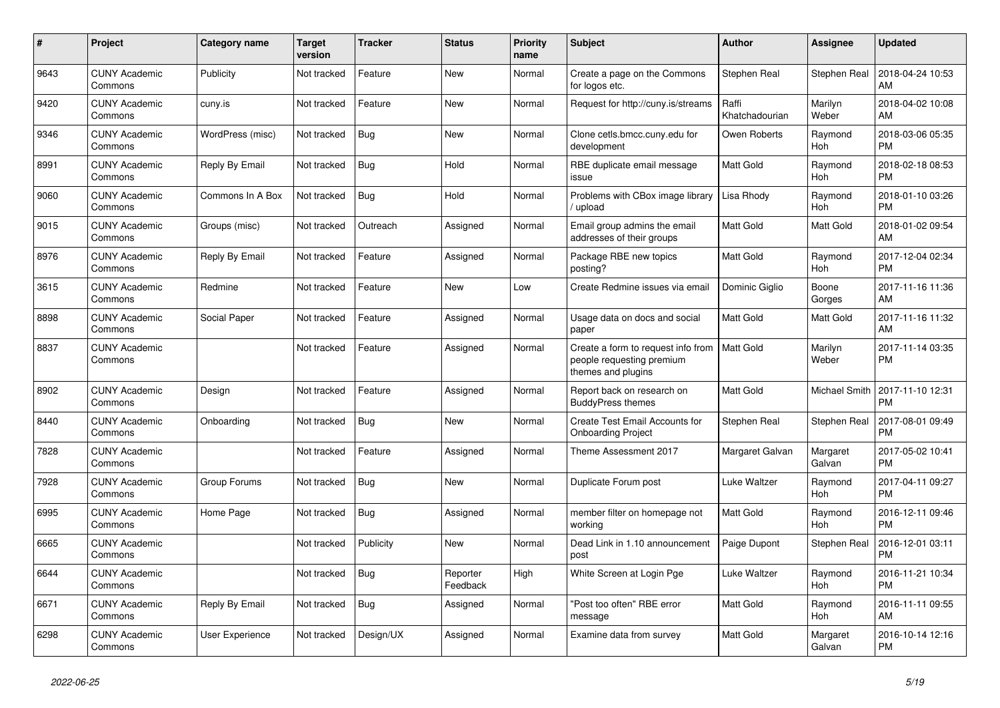| $\pmb{\#}$ | Project                         | Category name    | <b>Target</b><br>version | <b>Tracker</b> | <b>Status</b>        | <b>Priority</b><br>name | <b>Subject</b>                                                                        | <b>Author</b>           | <b>Assignee</b>       | <b>Updated</b>                |
|------------|---------------------------------|------------------|--------------------------|----------------|----------------------|-------------------------|---------------------------------------------------------------------------------------|-------------------------|-----------------------|-------------------------------|
| 9643       | <b>CUNY Academic</b><br>Commons | Publicity        | Not tracked              | Feature        | <b>New</b>           | Normal                  | Create a page on the Commons<br>for logos etc.                                        | Stephen Real            | Stephen Real          | 2018-04-24 10:53<br>AM        |
| 9420       | <b>CUNY Academic</b><br>Commons | cuny.is          | Not tracked              | Feature        | <b>New</b>           | Normal                  | Request for http://cuny.is/streams                                                    | Raffi<br>Khatchadourian | Marilyn<br>Weber      | 2018-04-02 10:08<br>AM        |
| 9346       | <b>CUNY Academic</b><br>Commons | WordPress (misc) | Not tracked              | Bug            | <b>New</b>           | Normal                  | Clone cetls.bmcc.cuny.edu for<br>development                                          | Owen Roberts            | Raymond<br><b>Hoh</b> | 2018-03-06 05:35<br><b>PM</b> |
| 8991       | <b>CUNY Academic</b><br>Commons | Reply By Email   | Not tracked              | Bug            | Hold                 | Normal                  | RBE duplicate email message<br>issue                                                  | Matt Gold               | Raymond<br>Hoh        | 2018-02-18 08:53<br><b>PM</b> |
| 9060       | <b>CUNY Academic</b><br>Commons | Commons In A Box | Not tracked              | <b>Bug</b>     | Hold                 | Normal                  | Problems with CBox image library<br>upload                                            | Lisa Rhody              | Raymond<br>Hoh        | 2018-01-10 03:26<br><b>PM</b> |
| 9015       | <b>CUNY Academic</b><br>Commons | Groups (misc)    | Not tracked              | Outreach       | Assigned             | Normal                  | Email group admins the email<br>addresses of their groups                             | Matt Gold               | Matt Gold             | 2018-01-02 09:54<br>AM        |
| 8976       | <b>CUNY Academic</b><br>Commons | Reply By Email   | Not tracked              | Feature        | Assigned             | Normal                  | Package RBE new topics<br>posting?                                                    | <b>Matt Gold</b>        | Raymond<br><b>Hoh</b> | 2017-12-04 02:34<br><b>PM</b> |
| 3615       | <b>CUNY Academic</b><br>Commons | Redmine          | Not tracked              | Feature        | <b>New</b>           | Low                     | Create Redmine issues via email                                                       | Dominic Giglio          | Boone<br>Gorges       | 2017-11-16 11:36<br>AM        |
| 8898       | <b>CUNY Academic</b><br>Commons | Social Paper     | Not tracked              | Feature        | Assigned             | Normal                  | Usage data on docs and social<br>paper                                                | <b>Matt Gold</b>        | Matt Gold             | 2017-11-16 11:32<br>AM        |
| 8837       | <b>CUNY Academic</b><br>Commons |                  | Not tracked              | Feature        | Assigned             | Normal                  | Create a form to request info from<br>people requesting premium<br>themes and plugins | <b>Matt Gold</b>        | Marilyn<br>Weber      | 2017-11-14 03:35<br><b>PM</b> |
| 8902       | <b>CUNY Academic</b><br>Commons | Design           | Not tracked              | Feature        | Assigned             | Normal                  | Report back on research on<br><b>BuddyPress themes</b>                                | <b>Matt Gold</b>        | Michael Smith         | 2017-11-10 12:31<br><b>PM</b> |
| 8440       | <b>CUNY Academic</b><br>Commons | Onboarding       | Not tracked              | Bug            | <b>New</b>           | Normal                  | Create Test Email Accounts for<br><b>Onboarding Project</b>                           | Stephen Real            | Stephen Real          | 2017-08-01 09:49<br><b>PM</b> |
| 7828       | <b>CUNY Academic</b><br>Commons |                  | Not tracked              | Feature        | Assigned             | Normal                  | Theme Assessment 2017                                                                 | Margaret Galvan         | Margaret<br>Galvan    | 2017-05-02 10:41<br><b>PM</b> |
| 7928       | <b>CUNY Academic</b><br>Commons | Group Forums     | Not tracked              | Bug            | New                  | Normal                  | Duplicate Forum post                                                                  | Luke Waltzer            | Raymond<br>Hoh        | 2017-04-11 09:27<br><b>PM</b> |
| 6995       | <b>CUNY Academic</b><br>Commons | Home Page        | Not tracked              | <b>Bug</b>     | Assigned             | Normal                  | member filter on homepage not<br>working                                              | <b>Matt Gold</b>        | Raymond<br>Hoh        | 2016-12-11 09:46<br><b>PM</b> |
| 6665       | <b>CUNY Academic</b><br>Commons |                  | Not tracked              | Publicity      | <b>New</b>           | Normal                  | Dead Link in 1.10 announcement<br>post                                                | Paige Dupont            | Stephen Real          | 2016-12-01 03:11<br><b>PM</b> |
| 6644       | <b>CUNY Academic</b><br>Commons |                  | Not tracked              | Bug            | Reporter<br>Feedback | High                    | White Screen at Login Pge                                                             | Luke Waltzer            | Raymond<br>Hoh        | 2016-11-21 10:34<br><b>PM</b> |
| 6671       | <b>CUNY Academic</b><br>Commons | Reply By Email   | Not tracked              | <b>Bug</b>     | Assigned             | Normal                  | "Post too often" RBE error<br>message                                                 | <b>Matt Gold</b>        | Raymond<br>Hoh        | 2016-11-11 09:55<br>AM        |
| 6298       | <b>CUNY Academic</b><br>Commons | User Experience  | Not tracked              | Design/UX      | Assigned             | Normal                  | Examine data from survey                                                              | <b>Matt Gold</b>        | Margaret<br>Galvan    | 2016-10-14 12:16<br><b>PM</b> |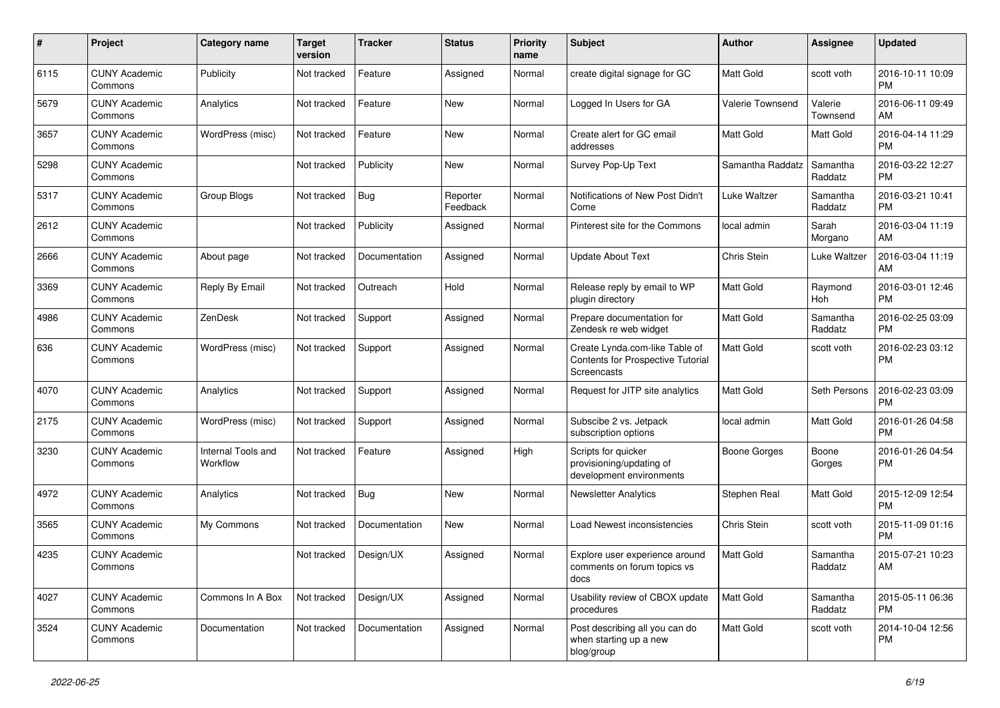| #    | Project                         | <b>Category name</b>           | <b>Target</b><br>version | <b>Tracker</b> | <b>Status</b>        | <b>Priority</b><br>name | Subject                                                                                   | Author                  | <b>Assignee</b>     | <b>Updated</b>                |
|------|---------------------------------|--------------------------------|--------------------------|----------------|----------------------|-------------------------|-------------------------------------------------------------------------------------------|-------------------------|---------------------|-------------------------------|
| 6115 | <b>CUNY Academic</b><br>Commons | Publicity                      | Not tracked              | Feature        | Assigned             | Normal                  | create digital signage for GC                                                             | <b>Matt Gold</b>        | scott voth          | 2016-10-11 10:09<br><b>PM</b> |
| 5679 | <b>CUNY Academic</b><br>Commons | Analytics                      | Not tracked              | Feature        | New                  | Normal                  | Logged In Users for GA                                                                    | <b>Valerie Townsend</b> | Valerie<br>Townsend | 2016-06-11 09:49<br>AM        |
| 3657 | CUNY Academic<br>Commons        | WordPress (misc)               | Not tracked              | Feature        | New                  | Normal                  | Create alert for GC email<br>addresses                                                    | Matt Gold               | Matt Gold           | 2016-04-14 11:29<br><b>PM</b> |
| 5298 | <b>CUNY Academic</b><br>Commons |                                | Not tracked              | Publicity      | New                  | Normal                  | Survey Pop-Up Text                                                                        | Samantha Raddatz        | Samantha<br>Raddatz | 2016-03-22 12:27<br><b>PM</b> |
| 5317 | <b>CUNY Academic</b><br>Commons | Group Blogs                    | Not tracked              | Bug            | Reporter<br>Feedback | Normal                  | Notifications of New Post Didn't<br>Come                                                  | Luke Waltzer            | Samantha<br>Raddatz | 2016-03-21 10:41<br><b>PM</b> |
| 2612 | <b>CUNY Academic</b><br>Commons |                                | Not tracked              | Publicity      | Assigned             | Normal                  | Pinterest site for the Commons                                                            | local admin             | Sarah<br>Morgano    | 2016-03-04 11:19<br>AM        |
| 2666 | <b>CUNY Academic</b><br>Commons | About page                     | Not tracked              | Documentation  | Assigned             | Normal                  | <b>Update About Text</b>                                                                  | <b>Chris Stein</b>      | Luke Waltzer        | 2016-03-04 11:19<br>AM        |
| 3369 | <b>CUNY Academic</b><br>Commons | Reply By Email                 | Not tracked              | Outreach       | Hold                 | Normal                  | Release reply by email to WP<br>plugin directory                                          | <b>Matt Gold</b>        | Raymond<br>Hoh      | 2016-03-01 12:46<br><b>PM</b> |
| 4986 | <b>CUNY Academic</b><br>Commons | ZenDesk                        | Not tracked              | Support        | Assigned             | Normal                  | Prepare documentation for<br>Zendesk re web widget                                        | <b>Matt Gold</b>        | Samantha<br>Raddatz | 2016-02-25 03:09<br><b>PM</b> |
| 636  | <b>CUNY Academic</b><br>Commons | WordPress (misc)               | Not tracked              | Support        | Assigned             | Normal                  | Create Lynda.com-like Table of<br>Contents for Prospective Tutorial<br><b>Screencasts</b> | <b>Matt Gold</b>        | scott voth          | 2016-02-23 03:12<br><b>PM</b> |
| 4070 | <b>CUNY Academic</b><br>Commons | Analytics                      | Not tracked              | Support        | Assigned             | Normal                  | Request for JITP site analytics                                                           | <b>Matt Gold</b>        | Seth Persons        | 2016-02-23 03:09<br><b>PM</b> |
| 2175 | CUNY Academic<br>Commons        | WordPress (misc)               | Not tracked              | Support        | Assigned             | Normal                  | Subscibe 2 vs. Jetpack<br>subscription options                                            | local admin             | Matt Gold           | 2016-01-26 04:58<br><b>PM</b> |
| 3230 | <b>CUNY Academic</b><br>Commons | Internal Tools and<br>Workflow | Not tracked              | Feature        | Assigned             | High                    | Scripts for quicker<br>provisioning/updating of<br>development environments               | <b>Boone Gorges</b>     | Boone<br>Gorges     | 2016-01-26 04:54<br><b>PM</b> |
| 4972 | <b>CUNY Academic</b><br>Commons | Analytics                      | Not tracked              | Bug            | New                  | Normal                  | <b>Newsletter Analytics</b>                                                               | Stephen Real            | Matt Gold           | 2015-12-09 12:54<br><b>PM</b> |
| 3565 | <b>CUNY Academic</b><br>Commons | My Commons                     | Not tracked              | Documentation  | New                  | Normal                  | Load Newest inconsistencies                                                               | <b>Chris Stein</b>      | scott voth          | 2015-11-09 01:16<br><b>PM</b> |
| 4235 | <b>CUNY Academic</b><br>Commons |                                | Not tracked              | Design/UX      | Assigned             | Normal                  | Explore user experience around<br>comments on forum topics vs<br>docs                     | Matt Gold               | Samantha<br>Raddatz | 2015-07-21 10:23<br>AM        |
| 4027 | <b>CUNY Academic</b><br>Commons | Commons In A Box               | Not tracked              | Design/UX      | Assigned             | Normal                  | Usability review of CBOX update<br>procedures                                             | Matt Gold               | Samantha<br>Raddatz | 2015-05-11 06:36<br><b>PM</b> |
| 3524 | <b>CUNY Academic</b><br>Commons | Documentation                  | Not tracked              | Documentation  | Assigned             | Normal                  | Post describing all you can do<br>when starting up a new<br>blog/group                    | Matt Gold               | scott voth          | 2014-10-04 12:56<br><b>PM</b> |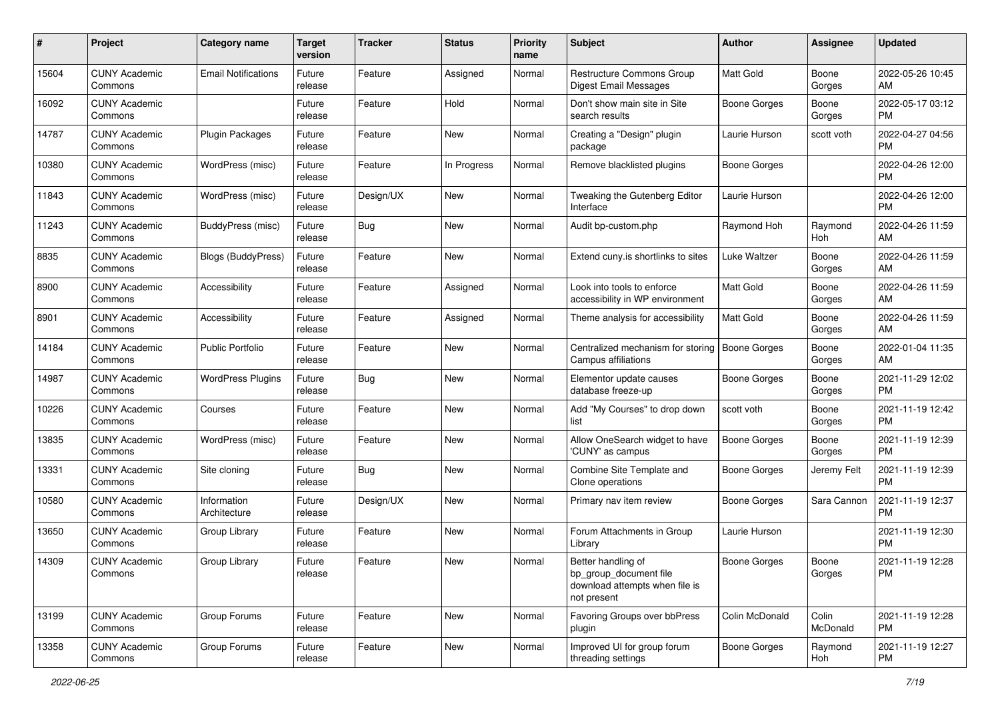| #     | Project                         | <b>Category name</b>        | <b>Target</b><br>version | <b>Tracker</b> | <b>Status</b> | <b>Priority</b><br>name | <b>Subject</b>                                                                                | Author              | Assignee          | <b>Updated</b>                |
|-------|---------------------------------|-----------------------------|--------------------------|----------------|---------------|-------------------------|-----------------------------------------------------------------------------------------------|---------------------|-------------------|-------------------------------|
| 15604 | <b>CUNY Academic</b><br>Commons | <b>Email Notifications</b>  | Future<br>release        | Feature        | Assigned      | Normal                  | Restructure Commons Group<br><b>Digest Email Messages</b>                                     | <b>Matt Gold</b>    | Boone<br>Gorges   | 2022-05-26 10:45<br>AM        |
| 16092 | <b>CUNY Academic</b><br>Commons |                             | Future<br>release        | Feature        | Hold          | Normal                  | Don't show main site in Site<br>search results                                                | <b>Boone Gorges</b> | Boone<br>Gorges   | 2022-05-17 03:12<br>PM        |
| 14787 | <b>CUNY Academic</b><br>Commons | <b>Plugin Packages</b>      | Future<br>release        | Feature        | <b>New</b>    | Normal                  | Creating a "Design" plugin<br>package                                                         | Laurie Hurson       | scott voth        | 2022-04-27 04:56<br><b>PM</b> |
| 10380 | <b>CUNY Academic</b><br>Commons | WordPress (misc)            | Future<br>release        | Feature        | In Progress   | Normal                  | Remove blacklisted plugins                                                                    | <b>Boone Gorges</b> |                   | 2022-04-26 12:00<br><b>PM</b> |
| 11843 | <b>CUNY Academic</b><br>Commons | WordPress (misc)            | Future<br>release        | Design/UX      | <b>New</b>    | Normal                  | Tweaking the Gutenberg Editor<br>Interface                                                    | Laurie Hurson       |                   | 2022-04-26 12:00<br><b>PM</b> |
| 11243 | <b>CUNY Academic</b><br>Commons | BuddyPress (misc)           | Future<br>release        | Bug            | <b>New</b>    | Normal                  | Audit bp-custom.php                                                                           | Raymond Hoh         | Raymond<br>Hoh    | 2022-04-26 11:59<br>AM        |
| 8835  | <b>CUNY Academic</b><br>Commons | <b>Blogs (BuddyPress)</b>   | Future<br>release        | Feature        | New           | Normal                  | Extend cuny is shortlinks to sites                                                            | Luke Waltzer        | Boone<br>Gorges   | 2022-04-26 11:59<br>AM        |
| 8900  | <b>CUNY Academic</b><br>Commons | Accessibility               | Future<br>release        | Feature        | Assigned      | Normal                  | Look into tools to enforce<br>accessibility in WP environment                                 | <b>Matt Gold</b>    | Boone<br>Gorges   | 2022-04-26 11:59<br>AM        |
| 8901  | <b>CUNY Academic</b><br>Commons | Accessibility               | Future<br>release        | Feature        | Assigned      | Normal                  | Theme analysis for accessibility                                                              | <b>Matt Gold</b>    | Boone<br>Gorges   | 2022-04-26 11:59<br>AM        |
| 14184 | <b>CUNY Academic</b><br>Commons | <b>Public Portfolio</b>     | Future<br>release        | Feature        | New           | Normal                  | Centralized mechanism for storing<br>Campus affiliations                                      | <b>Boone Gorges</b> | Boone<br>Gorges   | 2022-01-04 11:35<br>AM        |
| 14987 | <b>CUNY Academic</b><br>Commons | <b>WordPress Plugins</b>    | Future<br>release        | Bug            | <b>New</b>    | Normal                  | Elementor update causes<br>database freeze-up                                                 | Boone Gorges        | Boone<br>Gorges   | 2021-11-29 12:02<br><b>PM</b> |
| 10226 | <b>CUNY Academic</b><br>Commons | Courses                     | Future<br>release        | Feature        | <b>New</b>    | Normal                  | Add "My Courses" to drop down<br>list                                                         | scott voth          | Boone<br>Gorges   | 2021-11-19 12:42<br><b>PM</b> |
| 13835 | <b>CUNY Academic</b><br>Commons | WordPress (misc)            | Future<br>release        | Feature        | <b>New</b>    | Normal                  | Allow OneSearch widget to have<br>'CUNY' as campus                                            | <b>Boone Gorges</b> | Boone<br>Gorges   | 2021-11-19 12:39<br><b>PM</b> |
| 13331 | <b>CUNY Academic</b><br>Commons | Site cloning                | Future<br>release        | Bug            | <b>New</b>    | Normal                  | Combine Site Template and<br>Clone operations                                                 | <b>Boone Gorges</b> | Jeremy Felt       | 2021-11-19 12:39<br><b>PM</b> |
| 10580 | <b>CUNY Academic</b><br>Commons | Information<br>Architecture | Future<br>release        | Design/UX      | <b>New</b>    | Normal                  | Primary nav item review                                                                       | <b>Boone Gorges</b> | Sara Cannon       | 2021-11-19 12:37<br>PM        |
| 13650 | <b>CUNY Academic</b><br>Commons | Group Library               | Future<br>release        | Feature        | <b>New</b>    | Normal                  | Forum Attachments in Group<br>Library                                                         | Laurie Hurson       |                   | 2021-11-19 12:30<br><b>PM</b> |
| 14309 | <b>CUNY Academic</b><br>Commons | Group Library               | Future<br>release        | Feature        | <b>New</b>    | Normal                  | Better handling of<br>bp_group_document file<br>download attempts when file is<br>not present | <b>Boone Gorges</b> | Boone<br>Gorges   | 2021-11-19 12:28<br>PM        |
| 13199 | <b>CUNY Academic</b><br>Commons | Group Forums                | Future<br>release        | Feature        | New           | Normal                  | Favoring Groups over bbPress<br>plugin                                                        | Colin McDonald      | Colin<br>McDonald | 2021-11-19 12:28<br><b>PM</b> |
| 13358 | <b>CUNY Academic</b><br>Commons | Group Forums                | Future<br>release        | Feature        | New           | Normal                  | Improved UI for group forum<br>threading settings                                             | <b>Boone Gorges</b> | Raymond<br>Hoh    | 2021-11-19 12:27<br>PM        |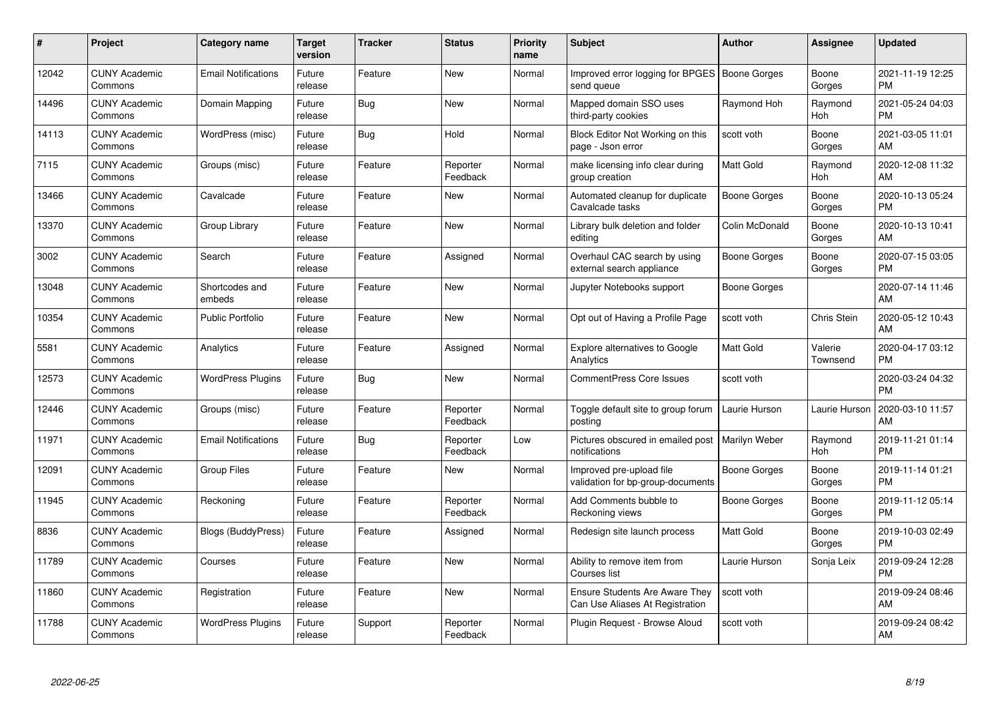| #     | Project                         | <b>Category name</b>       | Target<br>version | <b>Tracker</b> | <b>Status</b>        | <b>Priority</b><br>name | <b>Subject</b>                                                           | <b>Author</b>       | <b>Assignee</b>     | <b>Updated</b>                |
|-------|---------------------------------|----------------------------|-------------------|----------------|----------------------|-------------------------|--------------------------------------------------------------------------|---------------------|---------------------|-------------------------------|
| 12042 | <b>CUNY Academic</b><br>Commons | <b>Email Notifications</b> | Future<br>release | Feature        | <b>New</b>           | Normal                  | Improved error logging for BPGES   Boone Gorges<br>send queue            |                     | Boone<br>Gorges     | 2021-11-19 12:25<br><b>PM</b> |
| 14496 | <b>CUNY Academic</b><br>Commons | Domain Mapping             | Future<br>release | Bug            | <b>New</b>           | Normal                  | Mapped domain SSO uses<br>third-party cookies                            | Raymond Hoh         | Raymond<br>Hoh      | 2021-05-24 04:03<br><b>PM</b> |
| 14113 | <b>CUNY Academic</b><br>Commons | WordPress (misc)           | Future<br>release | Bug            | Hold                 | Normal                  | Block Editor Not Working on this<br>page - Json error                    | scott voth          | Boone<br>Gorges     | 2021-03-05 11:01<br>AM        |
| 7115  | <b>CUNY Academic</b><br>Commons | Groups (misc)              | Future<br>release | Feature        | Reporter<br>Feedback | Normal                  | make licensing info clear during<br>group creation                       | <b>Matt Gold</b>    | Raymond<br>Hoh      | 2020-12-08 11:32<br>AM        |
| 13466 | <b>CUNY Academic</b><br>Commons | Cavalcade                  | Future<br>release | Feature        | <b>New</b>           | Normal                  | Automated cleanup for duplicate<br>Cavalcade tasks                       | Boone Gorges        | Boone<br>Gorges     | 2020-10-13 05:24<br><b>PM</b> |
| 13370 | <b>CUNY Academic</b><br>Commons | Group Library              | Future<br>release | Feature        | <b>New</b>           | Normal                  | Library bulk deletion and folder<br>editing                              | Colin McDonald      | Boone<br>Gorges     | 2020-10-13 10:41<br>AM        |
| 3002  | <b>CUNY Academic</b><br>Commons | Search                     | Future<br>release | Feature        | Assigned             | Normal                  | Overhaul CAC search by using<br>external search appliance                | Boone Gorges        | Boone<br>Gorges     | 2020-07-15 03:05<br><b>PM</b> |
| 13048 | <b>CUNY Academic</b><br>Commons | Shortcodes and<br>embeds   | Future<br>release | Feature        | <b>New</b>           | Normal                  | Jupyter Notebooks support                                                | Boone Gorges        |                     | 2020-07-14 11:46<br>AM        |
| 10354 | <b>CUNY Academic</b><br>Commons | <b>Public Portfolio</b>    | Future<br>release | Feature        | <b>New</b>           | Normal                  | Opt out of Having a Profile Page                                         | scott voth          | <b>Chris Stein</b>  | 2020-05-12 10:43<br>AM        |
| 5581  | <b>CUNY Academic</b><br>Commons | Analytics                  | Future<br>release | Feature        | Assigned             | Normal                  | <b>Explore alternatives to Google</b><br>Analytics                       | <b>Matt Gold</b>    | Valerie<br>Townsend | 2020-04-17 03:12<br><b>PM</b> |
| 12573 | <b>CUNY Academic</b><br>Commons | <b>WordPress Plugins</b>   | Future<br>release | <b>Bug</b>     | <b>New</b>           | Normal                  | CommentPress Core Issues                                                 | scott voth          |                     | 2020-03-24 04:32<br><b>PM</b> |
| 12446 | <b>CUNY Academic</b><br>Commons | Groups (misc)              | Future<br>release | Feature        | Reporter<br>Feedback | Normal                  | Toggle default site to group forum<br>posting                            | Laurie Hurson       | Laurie Hurson       | 2020-03-10 11:57<br>AM        |
| 11971 | <b>CUNY Academic</b><br>Commons | <b>Email Notifications</b> | Future<br>release | Bug            | Reporter<br>Feedback | Low                     | Pictures obscured in emailed post   Marilyn Weber<br>notifications       |                     | Raymond<br>Hoh      | 2019-11-21 01:14<br><b>PM</b> |
| 12091 | <b>CUNY Academic</b><br>Commons | <b>Group Files</b>         | Future<br>release | Feature        | <b>New</b>           | Normal                  | Improved pre-upload file<br>validation for bp-group-documents            | <b>Boone Gorges</b> | Boone<br>Gorges     | 2019-11-14 01:21<br><b>PM</b> |
| 11945 | <b>CUNY Academic</b><br>Commons | Reckoning                  | Future<br>release | Feature        | Reporter<br>Feedback | Normal                  | Add Comments bubble to<br>Reckoning views                                | Boone Gorges        | Boone<br>Gorges     | 2019-11-12 05:14<br><b>PM</b> |
| 8836  | <b>CUNY Academic</b><br>Commons | <b>Blogs (BuddyPress)</b>  | Future<br>release | Feature        | Assigned             | Normal                  | Redesign site launch process                                             | <b>Matt Gold</b>    | Boone<br>Gorges     | 2019-10-03 02:49<br><b>PM</b> |
| 11789 | <b>CUNY Academic</b><br>Commons | Courses                    | Future<br>release | Feature        | New                  | Normal                  | Ability to remove item from<br>Courses list                              | Laurie Hurson       | Sonja Leix          | 2019-09-24 12:28<br><b>PM</b> |
| 11860 | <b>CUNY Academic</b><br>Commons | Registration               | Future<br>release | Feature        | <b>New</b>           | Normal                  | <b>Ensure Students Are Aware They</b><br>Can Use Aliases At Registration | scott voth          |                     | 2019-09-24 08:46<br>AM        |
| 11788 | <b>CUNY Academic</b><br>Commons | <b>WordPress Plugins</b>   | Future<br>release | Support        | Reporter<br>Feedback | Normal                  | Plugin Request - Browse Aloud                                            | scott voth          |                     | 2019-09-24 08:42<br>AM        |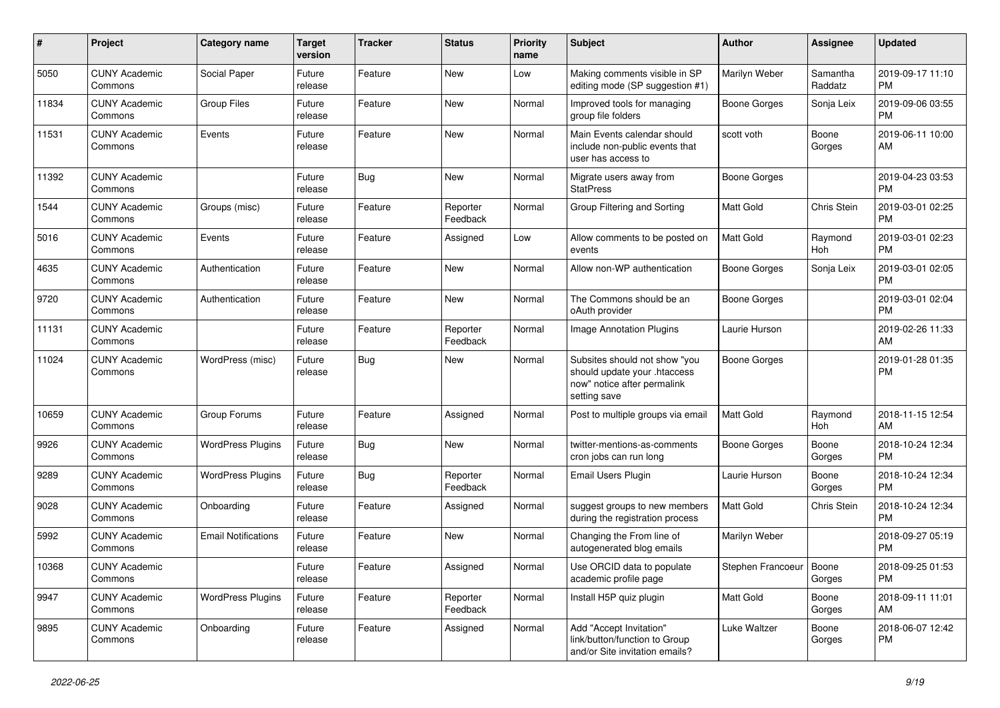| #     | Project                         | <b>Category name</b>       | <b>Target</b><br>version | <b>Tracker</b> | <b>Status</b>        | <b>Priority</b><br>name | <b>Subject</b>                                                                                               | Author                    | Assignee            | <b>Updated</b>                |
|-------|---------------------------------|----------------------------|--------------------------|----------------|----------------------|-------------------------|--------------------------------------------------------------------------------------------------------------|---------------------------|---------------------|-------------------------------|
| 5050  | <b>CUNY Academic</b><br>Commons | Social Paper               | Future<br>release        | Feature        | New                  | Low                     | Making comments visible in SP<br>editing mode (SP suggestion #1)                                             | Marilyn Weber             | Samantha<br>Raddatz | 2019-09-17 11:10<br>РM        |
| 11834 | <b>CUNY Academic</b><br>Commons | Group Files                | Future<br>release        | Feature        | New                  | Normal                  | Improved tools for managing<br>group file folders                                                            | <b>Boone Gorges</b>       | Sonja Leix          | 2019-09-06 03:55<br>PМ        |
| 11531 | <b>CUNY Academic</b><br>Commons | Events                     | Future<br>release        | Feature        | New                  | Normal                  | Main Events calendar should<br>include non-public events that<br>user has access to                          | scott voth                | Boone<br>Gorges     | 2019-06-11 10:00<br>AM        |
| 11392 | <b>CUNY Academic</b><br>Commons |                            | Future<br>release        | Bug            | New                  | Normal                  | Migrate users away from<br><b>StatPress</b>                                                                  | <b>Boone Gorges</b>       |                     | 2019-04-23 03:53<br><b>PM</b> |
| 1544  | <b>CUNY Academic</b><br>Commons | Groups (misc)              | Future<br>release        | Feature        | Reporter<br>Feedback | Normal                  | Group Filtering and Sorting                                                                                  | Matt Gold                 | Chris Stein         | 2019-03-01 02:25<br><b>PM</b> |
| 5016  | <b>CUNY Academic</b><br>Commons | Events                     | Future<br>release        | Feature        | Assigned             | Low                     | Allow comments to be posted on<br>events                                                                     | <b>Matt Gold</b>          | Raymond<br>Hoh      | 2019-03-01 02:23<br><b>PM</b> |
| 4635  | <b>CUNY Academic</b><br>Commons | Authentication             | Future<br>release        | Feature        | New                  | Normal                  | Allow non-WP authentication                                                                                  | <b>Boone Gorges</b>       | Sonja Leix          | 2019-03-01 02:05<br>PM        |
| 9720  | <b>CUNY Academic</b><br>Commons | Authentication             | Future<br>release        | Feature        | New                  | Normal                  | The Commons should be an<br>oAuth provider                                                                   | <b>Boone Gorges</b>       |                     | 2019-03-01 02:04<br><b>PM</b> |
| 11131 | <b>CUNY Academic</b><br>Commons |                            | Future<br>release        | Feature        | Reporter<br>Feedback | Normal                  | Image Annotation Plugins                                                                                     | Laurie Hurson             |                     | 2019-02-26 11:33<br>AM        |
| 11024 | <b>CUNY Academic</b><br>Commons | WordPress (misc)           | Future<br>release        | Bug            | New                  | Normal                  | Subsites should not show "you<br>should update your .htaccess<br>now" notice after permalink<br>setting save | <b>Boone Gorges</b>       |                     | 2019-01-28 01:35<br><b>PM</b> |
| 10659 | <b>CUNY Academic</b><br>Commons | Group Forums               | Future<br>release        | Feature        | Assigned             | Normal                  | Post to multiple groups via email                                                                            | Matt Gold                 | Raymond<br>Hoh      | 2018-11-15 12:54<br>AM        |
| 9926  | <b>CUNY Academic</b><br>Commons | <b>WordPress Plugins</b>   | Future<br>release        | Bug            | New                  | Normal                  | twitter-mentions-as-comments<br>cron jobs can run long                                                       | <b>Boone Gorges</b>       | Boone<br>Gorges     | 2018-10-24 12:34<br><b>PM</b> |
| 9289  | <b>CUNY Academic</b><br>Commons | <b>WordPress Plugins</b>   | Future<br>release        | Bug            | Reporter<br>Feedback | Normal                  | Email Users Plugin                                                                                           | Laurie Hurson             | Boone<br>Gorges     | 2018-10-24 12:34<br><b>PM</b> |
| 9028  | <b>CUNY Academic</b><br>Commons | Onboarding                 | Future<br>release        | Feature        | Assigned             | Normal                  | suggest groups to new members<br>during the registration process                                             | Matt Gold                 | Chris Stein         | 2018-10-24 12:34<br><b>PM</b> |
| 5992  | <b>CUNY Academic</b><br>Commons | <b>Email Notifications</b> | Future<br>release        | Feature        | New                  | Normal                  | Changing the From line of<br>autogenerated blog emails                                                       | Marilyn Weber             |                     | 2018-09-27 05:19<br><b>PM</b> |
| 10368 | <b>CUNY Academic</b><br>Commons |                            | Future<br>release        | Feature        | Assigned             | Normal                  | Use ORCID data to populate<br>academic profile page                                                          | Stephen Francoeur   Boone | Gorges              | 2018-09-25 01:53<br><b>PM</b> |
| 9947  | <b>CUNY Academic</b><br>Commons | <b>WordPress Plugins</b>   | Future<br>release        | Feature        | Reporter<br>Feedback | Normal                  | Install H5P quiz plugin                                                                                      | Matt Gold                 | Boone<br>Gorges     | 2018-09-11 11:01<br>AM        |
| 9895  | <b>CUNY Academic</b><br>Commons | Onboarding                 | Future<br>release        | Feature        | Assigned             | Normal                  | Add "Accept Invitation"<br>link/button/function to Group<br>and/or Site invitation emails?                   | Luke Waltzer              | Boone<br>Gorges     | 2018-06-07 12:42<br>PM        |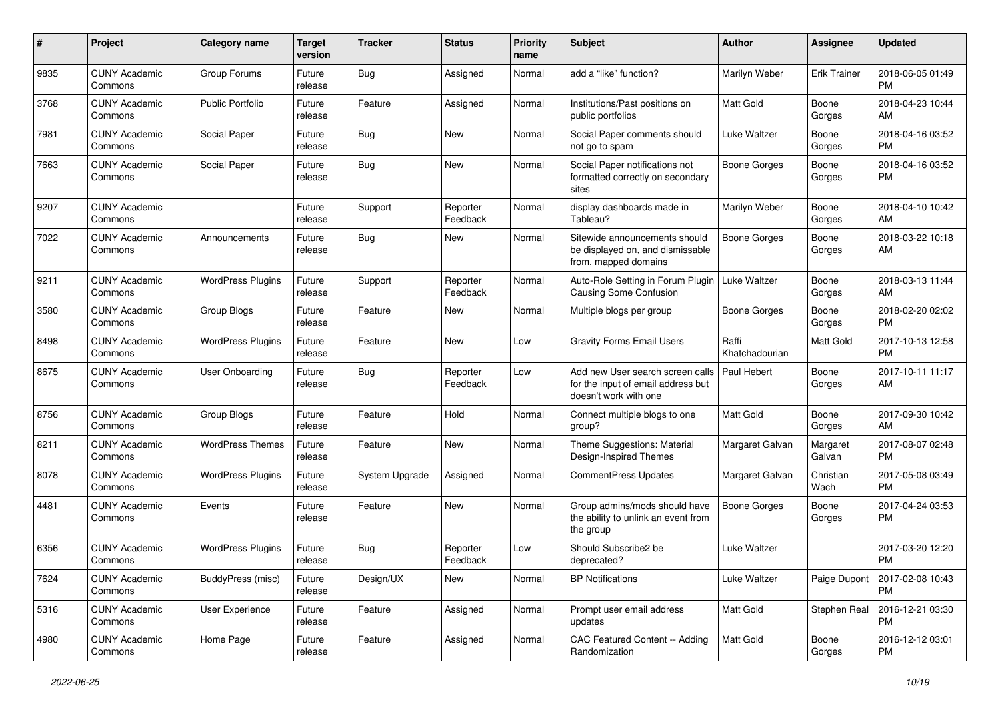| #    | Project                         | <b>Category name</b>     | <b>Target</b><br>version | <b>Tracker</b> | <b>Status</b>        | <b>Priority</b><br>name | <b>Subject</b>                                                                                  | Author                  | Assignee            | <b>Updated</b>                |
|------|---------------------------------|--------------------------|--------------------------|----------------|----------------------|-------------------------|-------------------------------------------------------------------------------------------------|-------------------------|---------------------|-------------------------------|
| 9835 | <b>CUNY Academic</b><br>Commons | Group Forums             | Future<br>release        | <b>Bug</b>     | Assigned             | Normal                  | add a "like" function?                                                                          | Marilyn Weber           | <b>Erik Trainer</b> | 2018-06-05 01:49<br><b>PM</b> |
| 3768 | <b>CUNY Academic</b><br>Commons | <b>Public Portfolio</b>  | Future<br>release        | Feature        | Assigned             | Normal                  | Institutions/Past positions on<br>public portfolios                                             | Matt Gold               | Boone<br>Gorges     | 2018-04-23 10:44<br>AM        |
| 7981 | <b>CUNY Academic</b><br>Commons | Social Paper             | Future<br>release        | Bug            | <b>New</b>           | Normal                  | Social Paper comments should<br>not go to spam                                                  | Luke Waltzer            | Boone<br>Gorges     | 2018-04-16 03:52<br><b>PM</b> |
| 7663 | <b>CUNY Academic</b><br>Commons | Social Paper             | Future<br>release        | <b>Bug</b>     | <b>New</b>           | Normal                  | Social Paper notifications not<br>formatted correctly on secondary<br>sites                     | <b>Boone Gorges</b>     | Boone<br>Gorges     | 2018-04-16 03:52<br><b>PM</b> |
| 9207 | <b>CUNY Academic</b><br>Commons |                          | Future<br>release        | Support        | Reporter<br>Feedback | Normal                  | display dashboards made in<br>Tableau?                                                          | Marilyn Weber           | Boone<br>Gorges     | 2018-04-10 10:42<br>AM        |
| 7022 | <b>CUNY Academic</b><br>Commons | Announcements            | Future<br>release        | <b>Bug</b>     | <b>New</b>           | Normal                  | Sitewide announcements should<br>be displayed on, and dismissable<br>from, mapped domains       | Boone Gorges            | Boone<br>Gorges     | 2018-03-22 10:18<br>AM        |
| 9211 | <b>CUNY Academic</b><br>Commons | <b>WordPress Plugins</b> | Future<br>release        | Support        | Reporter<br>Feedback | Normal                  | Auto-Role Setting in Forum Plugin<br><b>Causing Some Confusion</b>                              | Luke Waltzer            | Boone<br>Gorges     | 2018-03-13 11:44<br>AM        |
| 3580 | <b>CUNY Academic</b><br>Commons | Group Blogs              | Future<br>release        | Feature        | New                  | Normal                  | Multiple blogs per group                                                                        | <b>Boone Gorges</b>     | Boone<br>Gorges     | 2018-02-20 02:02<br><b>PM</b> |
| 8498 | <b>CUNY Academic</b><br>Commons | <b>WordPress Plugins</b> | Future<br>release        | Feature        | New                  | Low                     | <b>Gravity Forms Email Users</b>                                                                | Raffi<br>Khatchadourian | Matt Gold           | 2017-10-13 12:58<br><b>PM</b> |
| 8675 | <b>CUNY Academic</b><br>Commons | User Onboarding          | Future<br>release        | <b>Bug</b>     | Reporter<br>Feedback | Low                     | Add new User search screen calls<br>for the input of email address but<br>doesn't work with one | Paul Hebert             | Boone<br>Gorges     | 2017-10-11 11:17<br>AM        |
| 8756 | <b>CUNY Academic</b><br>Commons | Group Blogs              | Future<br>release        | Feature        | Hold                 | Normal                  | Connect multiple blogs to one<br>group?                                                         | Matt Gold               | Boone<br>Gorges     | 2017-09-30 10:42<br>AM        |
| 8211 | <b>CUNY Academic</b><br>Commons | <b>WordPress Themes</b>  | Future<br>release        | Feature        | <b>New</b>           | Normal                  | Theme Suggestions: Material<br>Design-Inspired Themes                                           | Margaret Galvan         | Margaret<br>Galvan  | 2017-08-07 02:48<br><b>PM</b> |
| 8078 | <b>CUNY Academic</b><br>Commons | <b>WordPress Plugins</b> | Future<br>release        | System Upgrade | Assigned             | Normal                  | <b>CommentPress Updates</b>                                                                     | Margaret Galvan         | Christian<br>Wach   | 2017-05-08 03:49<br><b>PM</b> |
| 4481 | <b>CUNY Academic</b><br>Commons | Events                   | Future<br>release        | Feature        | <b>New</b>           | Normal                  | Group admins/mods should have<br>the ability to unlink an event from<br>the group               | <b>Boone Gorges</b>     | Boone<br>Gorges     | 2017-04-24 03:53<br><b>PM</b> |
| 6356 | <b>CUNY Academic</b><br>Commons | <b>WordPress Plugins</b> | Future<br>release        | <b>Bug</b>     | Reporter<br>Feedback | Low                     | Should Subscribe2 be<br>deprecated?                                                             | Luke Waltzer            |                     | 2017-03-20 12:20<br><b>PM</b> |
| 7624 | <b>CUNY Academic</b><br>Commons | BuddyPress (misc)        | Future<br>release        | Design/UX      | New                  | Normal                  | <b>BP Notifications</b>                                                                         | Luke Waltzer            | Paige Dupont        | 2017-02-08 10:43<br><b>PM</b> |
| 5316 | <b>CUNY Academic</b><br>Commons | User Experience          | Future<br>release        | Feature        | Assigned             | Normal                  | Prompt user email address<br>updates                                                            | Matt Gold               | Stephen Real        | 2016-12-21 03:30<br>PM        |
| 4980 | <b>CUNY Academic</b><br>Commons | Home Page                | Future<br>release        | Feature        | Assigned             | Normal                  | CAC Featured Content -- Adding<br>Randomization                                                 | Matt Gold               | Boone<br>Gorges     | 2016-12-12 03:01<br><b>PM</b> |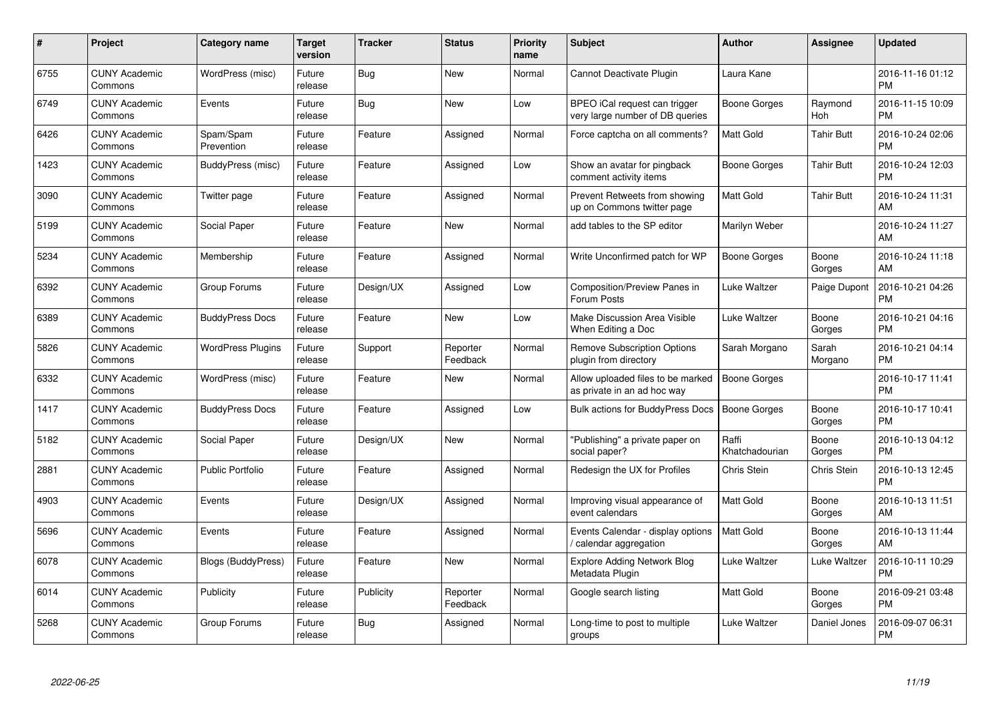| $\#$ | Project                         | Category name            | <b>Target</b><br>version | <b>Tracker</b> | <b>Status</b>        | <b>Priority</b><br>name | <b>Subject</b>                                                   | Author                  | <b>Assignee</b>   | <b>Updated</b>                |
|------|---------------------------------|--------------------------|--------------------------|----------------|----------------------|-------------------------|------------------------------------------------------------------|-------------------------|-------------------|-------------------------------|
| 6755 | <b>CUNY Academic</b><br>Commons | WordPress (misc)         | Future<br>release        | <b>Bug</b>     | <b>New</b>           | Normal                  | Cannot Deactivate Plugin                                         | Laura Kane              |                   | 2016-11-16 01:12<br><b>PM</b> |
| 6749 | <b>CUNY Academic</b><br>Commons | Events                   | Future<br>release        | Bug            | <b>New</b>           | Low                     | BPEO iCal request can trigger<br>very large number of DB queries | Boone Gorges            | Raymond<br>Hoh    | 2016-11-15 10:09<br><b>PM</b> |
| 6426 | <b>CUNY Academic</b><br>Commons | Spam/Spam<br>Prevention  | Future<br>release        | Feature        | Assigned             | Normal                  | Force captcha on all comments?                                   | <b>Matt Gold</b>        | <b>Tahir Butt</b> | 2016-10-24 02:06<br><b>PM</b> |
| 1423 | <b>CUNY Academic</b><br>Commons | BuddyPress (misc)        | Future<br>release        | Feature        | Assigned             | Low                     | Show an avatar for pingback<br>comment activity items            | Boone Gorges            | <b>Tahir Butt</b> | 2016-10-24 12:03<br><b>PM</b> |
| 3090 | <b>CUNY Academic</b><br>Commons | Twitter page             | Future<br>release        | Feature        | Assigned             | Normal                  | Prevent Retweets from showing<br>up on Commons twitter page      | <b>Matt Gold</b>        | <b>Tahir Butt</b> | 2016-10-24 11:31<br>AM        |
| 5199 | <b>CUNY Academic</b><br>Commons | Social Paper             | Future<br>release        | Feature        | <b>New</b>           | Normal                  | add tables to the SP editor                                      | Marilyn Weber           |                   | 2016-10-24 11:27<br>AM        |
| 5234 | <b>CUNY Academic</b><br>Commons | Membership               | Future<br>release        | Feature        | Assigned             | Normal                  | Write Unconfirmed patch for WP                                   | <b>Boone Gorges</b>     | Boone<br>Gorges   | 2016-10-24 11:18<br>AM        |
| 6392 | <b>CUNY Academic</b><br>Commons | Group Forums             | Future<br>release        | Design/UX      | Assigned             | Low                     | Composition/Preview Panes in<br>Forum Posts                      | Luke Waltzer            | Paige Dupont      | 2016-10-21 04:26<br><b>PM</b> |
| 6389 | <b>CUNY Academic</b><br>Commons | <b>BuddyPress Docs</b>   | Future<br>release        | Feature        | <b>New</b>           | Low                     | Make Discussion Area Visible<br>When Editing a Doc               | Luke Waltzer            | Boone<br>Gorges   | 2016-10-21 04:16<br><b>PM</b> |
| 5826 | <b>CUNY Academic</b><br>Commons | <b>WordPress Plugins</b> | Future<br>release        | Support        | Reporter<br>Feedback | Normal                  | Remove Subscription Options<br>plugin from directory             | Sarah Morgano           | Sarah<br>Morgano  | 2016-10-21 04:14<br><b>PM</b> |
| 6332 | <b>CUNY Academic</b><br>Commons | WordPress (misc)         | Future<br>release        | Feature        | <b>New</b>           | Normal                  | Allow uploaded files to be marked<br>as private in an ad hoc way | <b>Boone Gorges</b>     |                   | 2016-10-17 11:41<br><b>PM</b> |
| 1417 | <b>CUNY Academic</b><br>Commons | <b>BuddyPress Docs</b>   | Future<br>release        | Feature        | Assigned             | Low                     | <b>Bulk actions for BuddyPress Docs</b>                          | <b>Boone Gorges</b>     | Boone<br>Gorges   | 2016-10-17 10:41<br><b>PM</b> |
| 5182 | <b>CUNY Academic</b><br>Commons | Social Paper             | Future<br>release        | Design/UX      | New                  | Normal                  | 'Publishing" a private paper on<br>social paper?                 | Raffi<br>Khatchadourian | Boone<br>Gorges   | 2016-10-13 04:12<br><b>PM</b> |
| 2881 | <b>CUNY Academic</b><br>Commons | <b>Public Portfolio</b>  | Future<br>release        | Feature        | Assigned             | Normal                  | Redesign the UX for Profiles                                     | <b>Chris Stein</b>      | Chris Stein       | 2016-10-13 12:45<br><b>PM</b> |
| 4903 | <b>CUNY Academic</b><br>Commons | Events                   | Future<br>release        | Design/UX      | Assigned             | Normal                  | Improving visual appearance of<br>event calendars                | Matt Gold               | Boone<br>Gorges   | 2016-10-13 11:51<br>AM        |
| 5696 | <b>CUNY Academic</b><br>Commons | Events                   | Future<br>release        | Feature        | Assigned             | Normal                  | Events Calendar - display options<br>calendar aggregation        | <b>Matt Gold</b>        | Boone<br>Gorges   | 2016-10-13 11:44<br>AM        |
| 6078 | <b>CUNY Academic</b><br>Commons | Blogs (BuddyPress)       | Future<br>release        | Feature        | New                  | Normal                  | <b>Explore Adding Network Blog</b><br>Metadata Plugin            | Luke Waltzer            | Luke Waltzer      | 2016-10-11 10:29<br><b>PM</b> |
| 6014 | <b>CUNY Academic</b><br>Commons | Publicity                | Future<br>release        | Publicity      | Reporter<br>Feedback | Normal                  | Google search listing                                            | Matt Gold               | Boone<br>Gorges   | 2016-09-21 03:48<br><b>PM</b> |
| 5268 | <b>CUNY Academic</b><br>Commons | Group Forums             | Future<br>release        | <b>Bug</b>     | Assigned             | Normal                  | Long-time to post to multiple<br>groups                          | Luke Waltzer            | Daniel Jones      | 2016-09-07 06:31<br>PM        |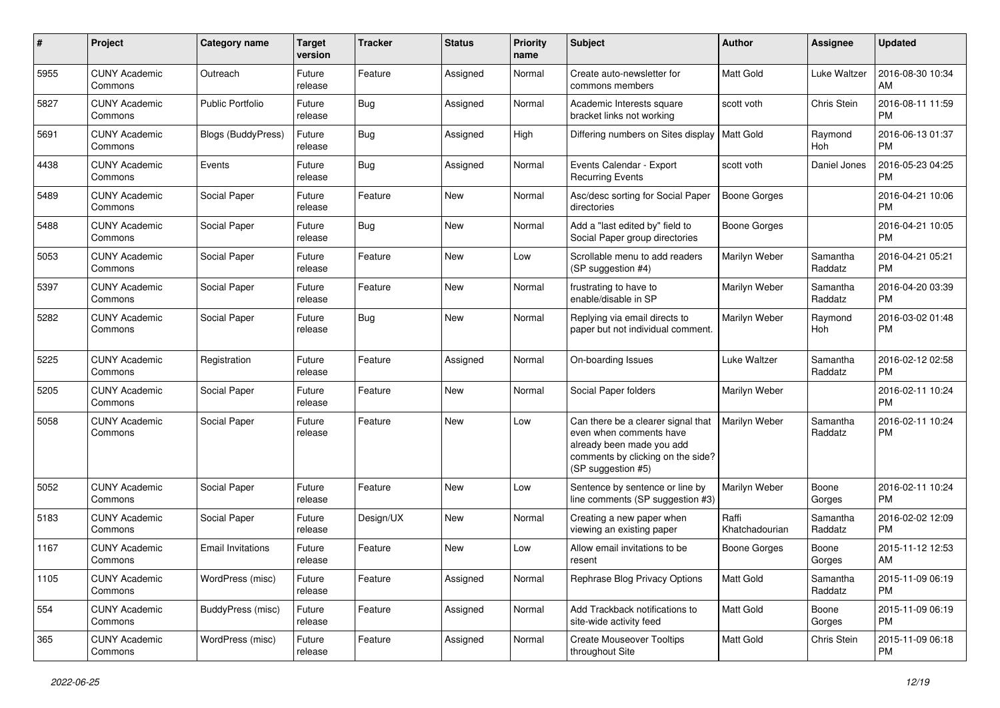| #    | Project                         | <b>Category name</b>      | <b>Target</b><br>version | <b>Tracker</b> | <b>Status</b> | <b>Priority</b><br>name | <b>Subject</b>                                                                                                                                        | Author                  | Assignee            | <b>Updated</b>                |
|------|---------------------------------|---------------------------|--------------------------|----------------|---------------|-------------------------|-------------------------------------------------------------------------------------------------------------------------------------------------------|-------------------------|---------------------|-------------------------------|
| 5955 | <b>CUNY Academic</b><br>Commons | Outreach                  | Future<br>release        | Feature        | Assigned      | Normal                  | Create auto-newsletter for<br>commons members                                                                                                         | <b>Matt Gold</b>        | Luke Waltzer        | 2016-08-30 10:34<br>AM        |
| 5827 | <b>CUNY Academic</b><br>Commons | <b>Public Portfolio</b>   | Future<br>release        | Bug            | Assigned      | Normal                  | Academic Interests square<br>bracket links not working                                                                                                | scott voth              | Chris Stein         | 2016-08-11 11:59<br><b>PM</b> |
| 5691 | <b>CUNY Academic</b><br>Commons | <b>Blogs (BuddyPress)</b> | Future<br>release        | <b>Bug</b>     | Assigned      | High                    | Differing numbers on Sites display                                                                                                                    | <b>Matt Gold</b>        | Raymond<br>Hoh      | 2016-06-13 01:37<br><b>PM</b> |
| 4438 | <b>CUNY Academic</b><br>Commons | Events                    | Future<br>release        | <b>Bug</b>     | Assigned      | Normal                  | Events Calendar - Export<br><b>Recurring Events</b>                                                                                                   | scott voth              | Daniel Jones        | 2016-05-23 04:25<br><b>PM</b> |
| 5489 | <b>CUNY Academic</b><br>Commons | Social Paper              | Future<br>release        | Feature        | <b>New</b>    | Normal                  | Asc/desc sorting for Social Paper<br>directories                                                                                                      | Boone Gorges            |                     | 2016-04-21 10:06<br><b>PM</b> |
| 5488 | <b>CUNY Academic</b><br>Commons | Social Paper              | Future<br>release        | Bug            | <b>New</b>    | Normal                  | Add a "last edited by" field to<br>Social Paper group directories                                                                                     | <b>Boone Gorges</b>     |                     | 2016-04-21 10:05<br><b>PM</b> |
| 5053 | <b>CUNY Academic</b><br>Commons | Social Paper              | Future<br>release        | Feature        | <b>New</b>    | Low                     | Scrollable menu to add readers<br>(SP suggestion #4)                                                                                                  | Marilyn Weber           | Samantha<br>Raddatz | 2016-04-21 05:21<br><b>PM</b> |
| 5397 | <b>CUNY Academic</b><br>Commons | Social Paper              | Future<br>release        | Feature        | <b>New</b>    | Normal                  | frustrating to have to<br>enable/disable in SP                                                                                                        | Marilyn Weber           | Samantha<br>Raddatz | 2016-04-20 03:39<br><b>PM</b> |
| 5282 | <b>CUNY Academic</b><br>Commons | Social Paper              | Future<br>release        | Bug            | <b>New</b>    | Normal                  | Replying via email directs to<br>paper but not individual comment.                                                                                    | Marilyn Weber           | Raymond<br>Hoh      | 2016-03-02 01:48<br><b>PM</b> |
| 5225 | <b>CUNY Academic</b><br>Commons | Registration              | Future<br>release        | Feature        | Assigned      | Normal                  | On-boarding Issues                                                                                                                                    | Luke Waltzer            | Samantha<br>Raddatz | 2016-02-12 02:58<br><b>PM</b> |
| 5205 | <b>CUNY Academic</b><br>Commons | Social Paper              | Future<br>release        | Feature        | <b>New</b>    | Normal                  | Social Paper folders                                                                                                                                  | Marilyn Weber           |                     | 2016-02-11 10:24<br>PM        |
| 5058 | <b>CUNY Academic</b><br>Commons | Social Paper              | Future<br>release        | Feature        | <b>New</b>    | Low                     | Can there be a clearer signal that<br>even when comments have<br>already been made you add<br>comments by clicking on the side?<br>(SP suggestion #5) | Marilyn Weber           | Samantha<br>Raddatz | 2016-02-11 10:24<br><b>PM</b> |
| 5052 | <b>CUNY Academic</b><br>Commons | Social Paper              | Future<br>release        | Feature        | <b>New</b>    | Low                     | Sentence by sentence or line by<br>line comments (SP suggestion #3)                                                                                   | Marilyn Weber           | Boone<br>Gorges     | 2016-02-11 10:24<br><b>PM</b> |
| 5183 | <b>CUNY Academic</b><br>Commons | Social Paper              | Future<br>release        | Design/UX      | New           | Normal                  | Creating a new paper when<br>viewing an existing paper                                                                                                | Raffi<br>Khatchadourian | Samantha<br>Raddatz | 2016-02-02 12:09<br><b>PM</b> |
| 1167 | <b>CUNY Academic</b><br>Commons | <b>Email Invitations</b>  | Future<br>release        | Feature        | <b>New</b>    | Low                     | Allow email invitations to be<br>resent                                                                                                               | <b>Boone Gorges</b>     | Boone<br>Gorges     | 2015-11-12 12:53<br>AM        |
| 1105 | <b>CUNY Academic</b><br>Commons | WordPress (misc)          | Future<br>release        | Feature        | Assigned      | Normal                  | Rephrase Blog Privacy Options                                                                                                                         | Matt Gold               | Samantha<br>Raddatz | 2015-11-09 06:19<br><b>PM</b> |
| 554  | <b>CUNY Academic</b><br>Commons | BuddyPress (misc)         | Future<br>release        | Feature        | Assigned      | Normal                  | Add Trackback notifications to<br>site-wide activity feed                                                                                             | Matt Gold               | Boone<br>Gorges     | 2015-11-09 06:19<br><b>PM</b> |
| 365  | <b>CUNY Academic</b><br>Commons | WordPress (misc)          | Future<br>release        | Feature        | Assigned      | Normal                  | <b>Create Mouseover Tooltips</b><br>throughout Site                                                                                                   | Matt Gold               | Chris Stein         | 2015-11-09 06:18<br><b>PM</b> |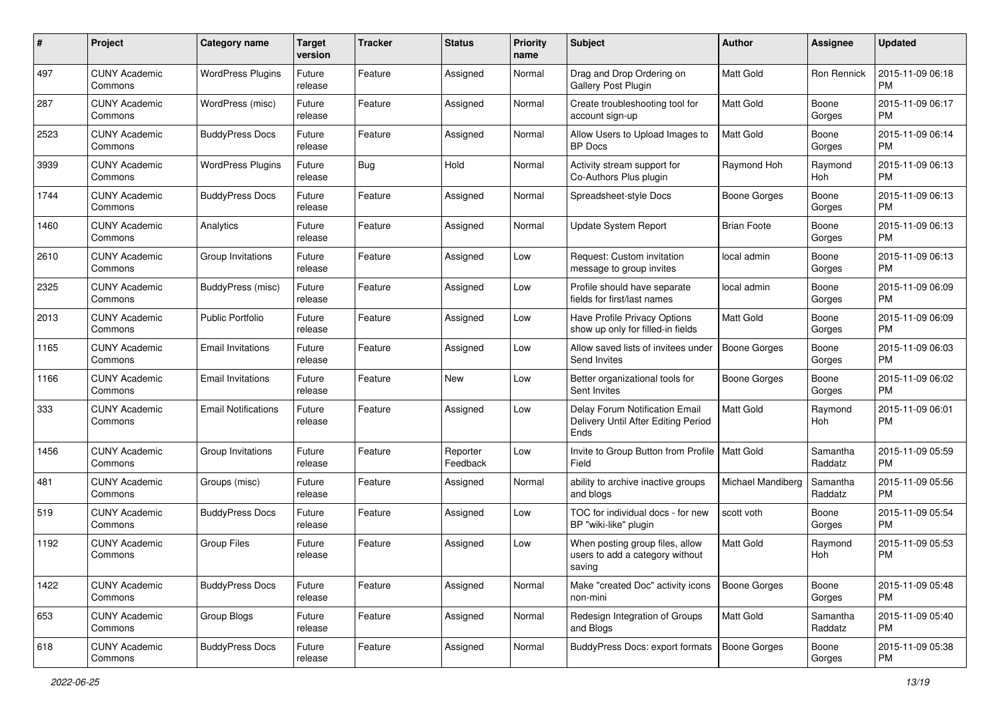| #    | Project                         | <b>Category name</b>       | <b>Target</b><br>version | <b>Tracker</b> | <b>Status</b>        | <b>Priority</b><br>name | Subject                                                                       | Author              | <b>Assignee</b>     | <b>Updated</b>                |
|------|---------------------------------|----------------------------|--------------------------|----------------|----------------------|-------------------------|-------------------------------------------------------------------------------|---------------------|---------------------|-------------------------------|
| 497  | <b>CUNY Academic</b><br>Commons | <b>WordPress Plugins</b>   | Future<br>release        | Feature        | Assigned             | Normal                  | Drag and Drop Ordering on<br>Gallery Post Plugin                              | <b>Matt Gold</b>    | Ron Rennick         | 2015-11-09 06:18<br><b>PM</b> |
| 287  | <b>CUNY Academic</b><br>Commons | WordPress (misc)           | Future<br>release        | Feature        | Assigned             | Normal                  | Create troubleshooting tool for<br>account sign-up                            | Matt Gold           | Boone<br>Gorges     | 2015-11-09 06:17<br>PM        |
| 2523 | <b>CUNY Academic</b><br>Commons | <b>BuddyPress Docs</b>     | Future<br>release        | Feature        | Assigned             | Normal                  | Allow Users to Upload Images to<br><b>BP</b> Docs                             | Matt Gold           | Boone<br>Gorges     | 2015-11-09 06:14<br><b>PM</b> |
| 3939 | <b>CUNY Academic</b><br>Commons | <b>WordPress Plugins</b>   | Future<br>release        | Bug            | Hold                 | Normal                  | Activity stream support for<br>Co-Authors Plus plugin                         | Raymond Hoh         | Raymond<br>Hoh      | 2015-11-09 06:13<br><b>PM</b> |
| 1744 | <b>CUNY Academic</b><br>Commons | <b>BuddyPress Docs</b>     | Future<br>release        | Feature        | Assigned             | Normal                  | Spreadsheet-style Docs                                                        | <b>Boone Gorges</b> | Boone<br>Gorges     | 2015-11-09 06:13<br><b>PM</b> |
| 1460 | <b>CUNY Academic</b><br>Commons | Analytics                  | Future<br>release        | Feature        | Assigned             | Normal                  | Update System Report                                                          | <b>Brian Foote</b>  | Boone<br>Gorges     | 2015-11-09 06:13<br><b>PM</b> |
| 2610 | <b>CUNY Academic</b><br>Commons | Group Invitations          | Future<br>release        | Feature        | Assigned             | Low                     | Request: Custom invitation<br>message to group invites                        | local admin         | Boone<br>Gorges     | 2015-11-09 06:13<br><b>PM</b> |
| 2325 | <b>CUNY Academic</b><br>Commons | BuddyPress (misc)          | Future<br>release        | Feature        | Assigned             | Low                     | Profile should have separate<br>fields for first/last names                   | local admin         | Boone<br>Gorges     | 2015-11-09 06:09<br><b>PM</b> |
| 2013 | <b>CUNY Academic</b><br>Commons | Public Portfolio           | Future<br>release        | Feature        | Assigned             | Low                     | Have Profile Privacy Options<br>show up only for filled-in fields             | Matt Gold           | Boone<br>Gorges     | 2015-11-09 06:09<br><b>PM</b> |
| 1165 | <b>CUNY Academic</b><br>Commons | <b>Email Invitations</b>   | Future<br>release        | Feature        | Assigned             | Low                     | Allow saved lists of invitees under<br>Send Invites                           | <b>Boone Gorges</b> | Boone<br>Gorges     | 2015-11-09 06:03<br><b>PM</b> |
| 1166 | <b>CUNY Academic</b><br>Commons | <b>Email Invitations</b>   | Future<br>release        | Feature        | New                  | Low                     | Better organizational tools for<br>Sent Invites                               | <b>Boone Gorges</b> | Boone<br>Gorges     | 2015-11-09 06:02<br><b>PM</b> |
| 333  | <b>CUNY Academic</b><br>Commons | <b>Email Notifications</b> | Future<br>release        | Feature        | Assigned             | Low                     | Delay Forum Notification Email<br>Delivery Until After Editing Period<br>Ends | <b>Matt Gold</b>    | Raymond<br>Hoh      | 2015-11-09 06:01<br><b>PM</b> |
| 1456 | <b>CUNY Academic</b><br>Commons | Group Invitations          | Future<br>release        | Feature        | Reporter<br>Feedback | Low                     | Invite to Group Button from Profile   Matt Gold<br>Field                      |                     | Samantha<br>Raddatz | 2015-11-09 05:59<br><b>PM</b> |
| 481  | <b>CUNY Academic</b><br>Commons | Groups (misc)              | Future<br>release        | Feature        | Assigned             | Normal                  | ability to archive inactive groups<br>and blogs                               | Michael Mandiberg   | Samantha<br>Raddatz | 2015-11-09 05:56<br><b>PM</b> |
| 519  | <b>CUNY Academic</b><br>Commons | <b>BuddyPress Docs</b>     | Future<br>release        | Feature        | Assigned             | Low                     | TOC for individual docs - for new<br>BP "wiki-like" plugin                    | scott voth          | Boone<br>Gorges     | 2015-11-09 05:54<br><b>PM</b> |
| 1192 | <b>CUNY Academic</b><br>Commons | <b>Group Files</b>         | Future<br>release        | Feature        | Assigned             | Low                     | When posting group files, allow<br>users to add a category without<br>saving  | Matt Gold           | Raymond<br>Hoh      | 2015-11-09 05:53<br><b>PM</b> |
| 1422 | <b>CUNY Academic</b><br>Commons | <b>BuddyPress Docs</b>     | Future<br>release        | Feature        | Assigned             | Normal                  | Make "created Doc" activity icons<br>non-mini                                 | <b>Boone Gorges</b> | Boone<br>Gorges     | 2015-11-09 05:48<br>PM        |
| 653  | <b>CUNY Academic</b><br>Commons | Group Blogs                | Future<br>release        | Feature        | Assigned             | Normal                  | Redesign Integration of Groups<br>and Blogs                                   | Matt Gold           | Samantha<br>Raddatz | 2015-11-09 05:40<br><b>PM</b> |
| 618  | <b>CUNY Academic</b><br>Commons | <b>BuddyPress Docs</b>     | Future<br>release        | Feature        | Assigned             | Normal                  | <b>BuddyPress Docs: export formats</b>                                        | Boone Gorges        | Boone<br>Gorges     | 2015-11-09 05:38<br><b>PM</b> |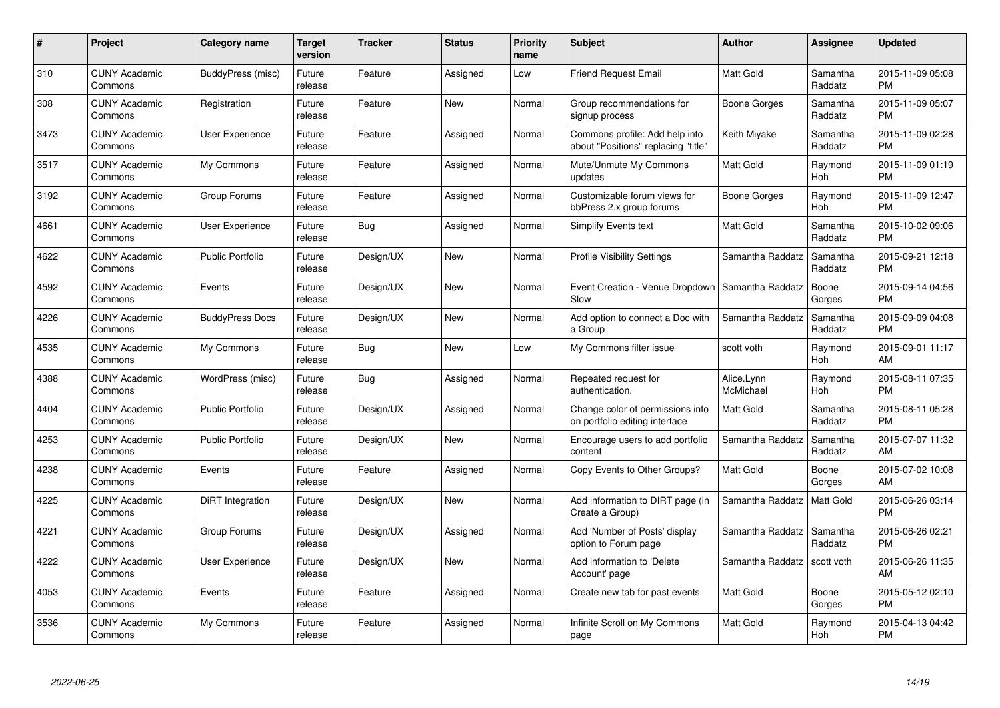| $\#$ | Project                         | <b>Category name</b>    | <b>Target</b><br>version | <b>Tracker</b> | <b>Status</b> | <b>Priority</b><br>name | <b>Subject</b>                                                        | Author                  | <b>Assignee</b>       | <b>Updated</b>                |
|------|---------------------------------|-------------------------|--------------------------|----------------|---------------|-------------------------|-----------------------------------------------------------------------|-------------------------|-----------------------|-------------------------------|
| 310  | <b>CUNY Academic</b><br>Commons | BuddyPress (misc)       | Future<br>release        | Feature        | Assigned      | Low                     | <b>Friend Request Email</b>                                           | <b>Matt Gold</b>        | Samantha<br>Raddatz   | 2015-11-09 05:08<br><b>PM</b> |
| 308  | <b>CUNY Academic</b><br>Commons | Registration            | Future<br>release        | Feature        | New           | Normal                  | Group recommendations for<br>signup process                           | Boone Gorges            | Samantha<br>Raddatz   | 2015-11-09 05:07<br><b>PM</b> |
| 3473 | <b>CUNY Academic</b><br>Commons | User Experience         | Future<br>release        | Feature        | Assigned      | Normal                  | Commons profile: Add help info<br>about "Positions" replacing "title" | Keith Miyake            | Samantha<br>Raddatz   | 2015-11-09 02:28<br><b>PM</b> |
| 3517 | <b>CUNY Academic</b><br>Commons | My Commons              | Future<br>release        | Feature        | Assigned      | Normal                  | Mute/Unmute My Commons<br>updates                                     | Matt Gold               | Raymond<br>Hoh        | 2015-11-09 01:19<br><b>PM</b> |
| 3192 | <b>CUNY Academic</b><br>Commons | Group Forums            | Future<br>release        | Feature        | Assigned      | Normal                  | Customizable forum views for<br>bbPress 2.x group forums              | Boone Gorges            | Raymond<br><b>Hoh</b> | 2015-11-09 12:47<br><b>PM</b> |
| 4661 | <b>CUNY Academic</b><br>Commons | User Experience         | Future<br>release        | Bug            | Assigned      | Normal                  | Simplify Events text                                                  | <b>Matt Gold</b>        | Samantha<br>Raddatz   | 2015-10-02 09:06<br><b>PM</b> |
| 4622 | <b>CUNY Academic</b><br>Commons | <b>Public Portfolio</b> | Future<br>release        | Design/UX      | <b>New</b>    | Normal                  | <b>Profile Visibility Settings</b>                                    | Samantha Raddatz        | Samantha<br>Raddatz   | 2015-09-21 12:18<br><b>PM</b> |
| 4592 | <b>CUNY Academic</b><br>Commons | Events                  | Future<br>release        | Design/UX      | <b>New</b>    | Normal                  | Event Creation - Venue Dropdown<br>Slow                               | Samantha Raddatz        | Boone<br>Gorges       | 2015-09-14 04:56<br><b>PM</b> |
| 4226 | <b>CUNY Academic</b><br>Commons | <b>BuddyPress Docs</b>  | Future<br>release        | Design/UX      | <b>New</b>    | Normal                  | Add option to connect a Doc with<br>a Group                           | Samantha Raddatz        | Samantha<br>Raddatz   | 2015-09-09 04:08<br><b>PM</b> |
| 4535 | <b>CUNY Academic</b><br>Commons | My Commons              | Future<br>release        | <b>Bug</b>     | <b>New</b>    | Low                     | My Commons filter issue                                               | scott voth              | Raymond<br>Hoh        | 2015-09-01 11:17<br>AM        |
| 4388 | <b>CUNY Academic</b><br>Commons | WordPress (misc)        | Future<br>release        | <b>Bug</b>     | Assigned      | Normal                  | Repeated request for<br>authentication.                               | Alice.Lynn<br>McMichael | Raymond<br>Hoh        | 2015-08-11 07:35<br><b>PM</b> |
| 4404 | <b>CUNY Academic</b><br>Commons | <b>Public Portfolio</b> | Future<br>release        | Design/UX      | Assigned      | Normal                  | Change color of permissions info<br>on portfolio editing interface    | <b>Matt Gold</b>        | Samantha<br>Raddatz   | 2015-08-11 05:28<br><b>PM</b> |
| 4253 | <b>CUNY Academic</b><br>Commons | <b>Public Portfolio</b> | Future<br>release        | Design/UX      | <b>New</b>    | Normal                  | Encourage users to add portfolio<br>content                           | Samantha Raddatz        | Samantha<br>Raddatz   | 2015-07-07 11:32<br>AM        |
| 4238 | <b>CUNY Academic</b><br>Commons | Events                  | Future<br>release        | Feature        | Assigned      | Normal                  | Copy Events to Other Groups?                                          | Matt Gold               | Boone<br>Gorges       | 2015-07-02 10:08<br>AM        |
| 4225 | <b>CUNY Academic</b><br>Commons | DiRT Integration        | Future<br>release        | Design/UX      | New           | Normal                  | Add information to DIRT page (in<br>Create a Group)                   | Samantha Raddatz        | <b>Matt Gold</b>      | 2015-06-26 03:14<br><b>PM</b> |
| 4221 | <b>CUNY Academic</b><br>Commons | Group Forums            | Future<br>release        | Design/UX      | Assigned      | Normal                  | Add 'Number of Posts' display<br>option to Forum page                 | Samantha Raddatz        | Samantha<br>Raddatz   | 2015-06-26 02:21<br><b>PM</b> |
| 4222 | <b>CUNY Academic</b><br>Commons | User Experience         | Future<br>release        | Design/UX      | New           | Normal                  | Add information to 'Delete<br>Account' page                           | Samantha Raddatz        | scott voth            | 2015-06-26 11:35<br>AM        |
| 4053 | <b>CUNY Academic</b><br>Commons | Events                  | Future<br>release        | Feature        | Assigned      | Normal                  | Create new tab for past events                                        | Matt Gold               | Boone<br>Gorges       | 2015-05-12 02:10<br><b>PM</b> |
| 3536 | <b>CUNY Academic</b><br>Commons | My Commons              | Future<br>release        | Feature        | Assigned      | Normal                  | Infinite Scroll on My Commons<br>page                                 | <b>Matt Gold</b>        | Raymond<br>Hoh        | 2015-04-13 04:42<br>PM        |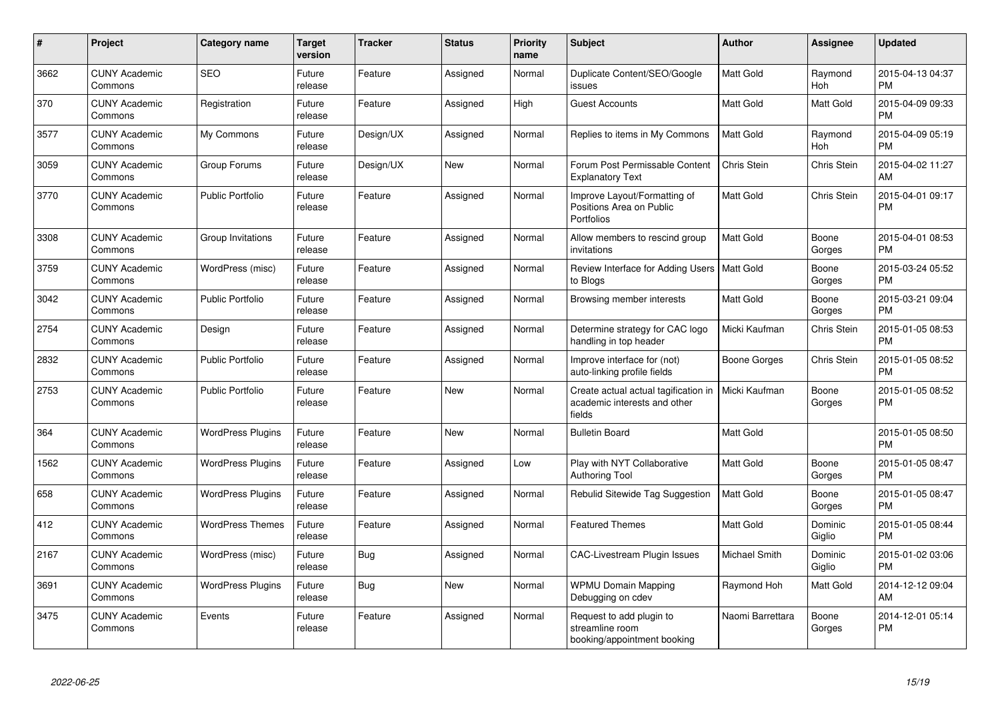| $\#$ | <b>Project</b>                  | Category name            | <b>Target</b><br>version | <b>Tracker</b> | <b>Status</b> | <b>Priority</b><br>name | <b>Subject</b>                                                                 | Author              | Assignee              | <b>Updated</b>                |
|------|---------------------------------|--------------------------|--------------------------|----------------|---------------|-------------------------|--------------------------------------------------------------------------------|---------------------|-----------------------|-------------------------------|
| 3662 | <b>CUNY Academic</b><br>Commons | <b>SEO</b>               | Future<br>release        | Feature        | Assigned      | Normal                  | Duplicate Content/SEO/Google<br>issues                                         | <b>Matt Gold</b>    | Raymond<br><b>Hoh</b> | 2015-04-13 04:37<br><b>PM</b> |
| 370  | <b>CUNY Academic</b><br>Commons | Registration             | Future<br>release        | Feature        | Assigned      | High                    | <b>Guest Accounts</b>                                                          | <b>Matt Gold</b>    | <b>Matt Gold</b>      | 2015-04-09 09:33<br><b>PM</b> |
| 3577 | <b>CUNY Academic</b><br>Commons | My Commons               | Future<br>release        | Design/UX      | Assigned      | Normal                  | Replies to items in My Commons                                                 | <b>Matt Gold</b>    | Raymond<br>Hoh        | 2015-04-09 05:19<br><b>PM</b> |
| 3059 | <b>CUNY Academic</b><br>Commons | Group Forums             | Future<br>release        | Design/UX      | <b>New</b>    | Normal                  | Forum Post Permissable Content<br><b>Explanatory Text</b>                      | Chris Stein         | Chris Stein           | 2015-04-02 11:27<br>AM        |
| 3770 | <b>CUNY Academic</b><br>Commons | <b>Public Portfolio</b>  | Future<br>release        | Feature        | Assigned      | Normal                  | Improve Layout/Formatting of<br>Positions Area on Public<br>Portfolios         | Matt Gold           | Chris Stein           | 2015-04-01 09:17<br><b>PM</b> |
| 3308 | <b>CUNY Academic</b><br>Commons | Group Invitations        | Future<br>release        | Feature        | Assigned      | Normal                  | Allow members to rescind group<br>invitations                                  | <b>Matt Gold</b>    | Boone<br>Gorges       | 2015-04-01 08:53<br><b>PM</b> |
| 3759 | <b>CUNY Academic</b><br>Commons | WordPress (misc)         | Future<br>release        | Feature        | Assigned      | Normal                  | Review Interface for Adding Users   Matt Gold<br>to Blogs                      |                     | Boone<br>Gorges       | 2015-03-24 05:52<br><b>PM</b> |
| 3042 | <b>CUNY Academic</b><br>Commons | <b>Public Portfolio</b>  | Future<br>release        | Feature        | Assigned      | Normal                  | Browsing member interests                                                      | <b>Matt Gold</b>    | Boone<br>Gorges       | 2015-03-21 09:04<br><b>PM</b> |
| 2754 | <b>CUNY Academic</b><br>Commons | Design                   | Future<br>release        | Feature        | Assigned      | Normal                  | Determine strategy for CAC logo<br>handling in top header                      | Micki Kaufman       | Chris Stein           | 2015-01-05 08:53<br><b>PM</b> |
| 2832 | <b>CUNY Academic</b><br>Commons | <b>Public Portfolio</b>  | Future<br>release        | Feature        | Assigned      | Normal                  | Improve interface for (not)<br>auto-linking profile fields                     | <b>Boone Gorges</b> | Chris Stein           | 2015-01-05 08:52<br><b>PM</b> |
| 2753 | <b>CUNY Academic</b><br>Commons | <b>Public Portfolio</b>  | Future<br>release        | Feature        | <b>New</b>    | Normal                  | Create actual actual tagification in<br>academic interests and other<br>fields | Micki Kaufman       | Boone<br>Gorges       | 2015-01-05 08:52<br><b>PM</b> |
| 364  | <b>CUNY Academic</b><br>Commons | <b>WordPress Plugins</b> | Future<br>release        | Feature        | <b>New</b>    | Normal                  | <b>Bulletin Board</b>                                                          | <b>Matt Gold</b>    |                       | 2015-01-05 08:50<br><b>PM</b> |
| 1562 | <b>CUNY Academic</b><br>Commons | <b>WordPress Plugins</b> | Future<br>release        | Feature        | Assigned      | Low                     | Play with NYT Collaborative<br><b>Authoring Tool</b>                           | Matt Gold           | Boone<br>Gorges       | 2015-01-05 08:47<br><b>PM</b> |
| 658  | <b>CUNY Academic</b><br>Commons | <b>WordPress Plugins</b> | Future<br>release        | Feature        | Assigned      | Normal                  | Rebulid Sitewide Tag Suggestion                                                | Matt Gold           | Boone<br>Gorges       | 2015-01-05 08:47<br><b>PM</b> |
| 412  | <b>CUNY Academic</b><br>Commons | <b>WordPress Themes</b>  | Future<br>release        | Feature        | Assigned      | Normal                  | <b>Featured Themes</b>                                                         | <b>Matt Gold</b>    | Dominic<br>Giglio     | 2015-01-05 08:44<br><b>PM</b> |
| 2167 | <b>CUNY Academic</b><br>Commons | WordPress (misc)         | Future<br>release        | Bug            | Assigned      | Normal                  | <b>CAC-Livestream Plugin Issues</b>                                            | Michael Smith       | Dominic<br>Giglio     | 2015-01-02 03:06<br><b>PM</b> |
| 3691 | <b>CUNY Academic</b><br>Commons | <b>WordPress Plugins</b> | Future<br>release        | <b>Bug</b>     | <b>New</b>    | Normal                  | <b>WPMU Domain Mapping</b><br>Debugging on cdev                                | Raymond Hoh         | Matt Gold             | 2014-12-12 09:04<br>AM        |
| 3475 | <b>CUNY Academic</b><br>Commons | Events                   | Future<br>release        | Feature        | Assigned      | Normal                  | Request to add plugin to<br>streamline room<br>booking/appointment booking     | Naomi Barrettara    | Boone<br>Gorges       | 2014-12-01 05:14<br><b>PM</b> |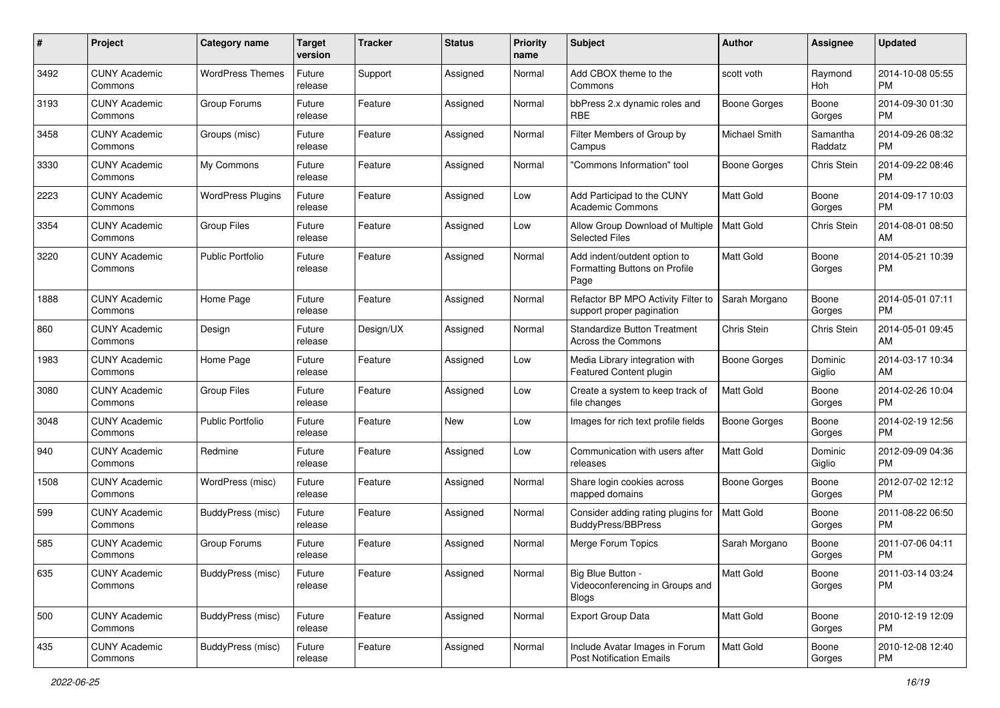| #    | Project                         | <b>Category name</b>     | <b>Target</b><br>version | <b>Tracker</b> | <b>Status</b> | <b>Priority</b><br>name | Subject                                                               | Author              | <b>Assignee</b>     | <b>Updated</b>                |
|------|---------------------------------|--------------------------|--------------------------|----------------|---------------|-------------------------|-----------------------------------------------------------------------|---------------------|---------------------|-------------------------------|
| 3492 | <b>CUNY Academic</b><br>Commons | <b>WordPress Themes</b>  | Future<br>release        | Support        | Assigned      | Normal                  | Add CBOX theme to the<br>Commons                                      | scott voth          | Raymond<br>Hoh      | 2014-10-08 05:55<br>PM        |
| 3193 | <b>CUNY Academic</b><br>Commons | Group Forums             | Future<br>release        | Feature        | Assigned      | Normal                  | bbPress 2.x dynamic roles and<br><b>RBE</b>                           | <b>Boone Gorges</b> | Boone<br>Gorges     | 2014-09-30 01:30<br><b>PM</b> |
| 3458 | <b>CUNY Academic</b><br>Commons | Groups (misc)            | Future<br>release        | Feature        | Assigned      | Normal                  | Filter Members of Group by<br>Campus                                  | Michael Smith       | Samantha<br>Raddatz | 2014-09-26 08:32<br><b>PM</b> |
| 3330 | <b>CUNY Academic</b><br>Commons | My Commons               | Future<br>release        | Feature        | Assigned      | Normal                  | "Commons Information" tool                                            | <b>Boone Gorges</b> | Chris Stein         | 2014-09-22 08:46<br><b>PM</b> |
| 2223 | <b>CUNY Academic</b><br>Commons | <b>WordPress Plugins</b> | Future<br>release        | Feature        | Assigned      | Low                     | Add Participad to the CUNY<br><b>Academic Commons</b>                 | Matt Gold           | Boone<br>Gorges     | 2014-09-17 10:03<br><b>PM</b> |
| 3354 | <b>CUNY Academic</b><br>Commons | <b>Group Files</b>       | Future<br>release        | Feature        | Assigned      | Low                     | Allow Group Download of Multiple<br><b>Selected Files</b>             | <b>Matt Gold</b>    | Chris Stein         | 2014-08-01 08:50<br>AM        |
| 3220 | <b>CUNY Academic</b><br>Commons | <b>Public Portfolio</b>  | Future<br>release        | Feature        | Assigned      | Normal                  | Add indent/outdent option to<br>Formatting Buttons on Profile<br>Page | Matt Gold           | Boone<br>Gorges     | 2014-05-21 10:39<br><b>PM</b> |
| 1888 | <b>CUNY Academic</b><br>Commons | Home Page                | Future<br>release        | Feature        | Assigned      | Normal                  | Refactor BP MPO Activity Filter to<br>support proper pagination       | Sarah Morgano       | Boone<br>Gorges     | 2014-05-01 07:11<br>PM        |
| 860  | <b>CUNY Academic</b><br>Commons | Design                   | Future<br>release        | Design/UX      | Assigned      | Normal                  | <b>Standardize Button Treatment</b><br>Across the Commons             | Chris Stein         | Chris Stein         | 2014-05-01 09:45<br>AM        |
| 1983 | <b>CUNY Academic</b><br>Commons | Home Page                | Future<br>release        | Feature        | Assigned      | Low                     | Media Library integration with<br>Featured Content plugin             | <b>Boone Gorges</b> | Dominic<br>Giglio   | 2014-03-17 10:34<br>AM        |
| 3080 | <b>CUNY Academic</b><br>Commons | <b>Group Files</b>       | Future<br>release        | Feature        | Assigned      | Low                     | Create a system to keep track of<br>file changes                      | Matt Gold           | Boone<br>Gorges     | 2014-02-26 10:04<br><b>PM</b> |
| 3048 | <b>CUNY Academic</b><br>Commons | <b>Public Portfolio</b>  | Future<br>release        | Feature        | New           | Low                     | Images for rich text profile fields                                   | <b>Boone Gorges</b> | Boone<br>Gorges     | 2014-02-19 12:56<br><b>PM</b> |
| 940  | <b>CUNY Academic</b><br>Commons | Redmine                  | Future<br>release        | Feature        | Assigned      | Low                     | Communication with users after<br>releases                            | Matt Gold           | Dominic<br>Giglio   | 2012-09-09 04:36<br><b>PM</b> |
| 1508 | <b>CUNY Academic</b><br>Commons | WordPress (misc)         | Future<br>release        | Feature        | Assigned      | Normal                  | Share login cookies across<br>mapped domains                          | Boone Gorges        | Boone<br>Gorges     | 2012-07-02 12:12<br><b>PM</b> |
| 599  | <b>CUNY Academic</b><br>Commons | BuddyPress (misc)        | Future<br>release        | Feature        | Assigned      | Normal                  | Consider adding rating plugins for<br><b>BuddyPress/BBPress</b>       | Matt Gold           | Boone<br>Gorges     | 2011-08-22 06:50<br><b>PM</b> |
| 585  | <b>CUNY Academic</b><br>Commons | Group Forums             | Future<br>release        | Feature        | Assigned      | Normal                  | Merge Forum Topics                                                    | Sarah Morgano       | Boone<br>Gorges     | 2011-07-06 04:11<br>PM        |
| 635  | <b>CUNY Academic</b><br>Commons | BuddyPress (misc)        | Future<br>release        | Feature        | Assigned      | Normal                  | Big Blue Button -<br>Videoconferencing in Groups and<br><b>Blogs</b>  | Matt Gold           | Boone<br>Gorges     | 2011-03-14 03:24<br><b>PM</b> |
| 500  | <b>CUNY Academic</b><br>Commons | BuddyPress (misc)        | Future<br>release        | Feature        | Assigned      | Normal                  | Export Group Data                                                     | Matt Gold           | Boone<br>Gorges     | 2010-12-19 12:09<br>PM        |
| 435  | <b>CUNY Academic</b><br>Commons | BuddyPress (misc)        | Future<br>release        | Feature        | Assigned      | Normal                  | Include Avatar Images in Forum<br><b>Post Notification Emails</b>     | Matt Gold           | Boone<br>Gorges     | 2010-12-08 12:40<br><b>PM</b> |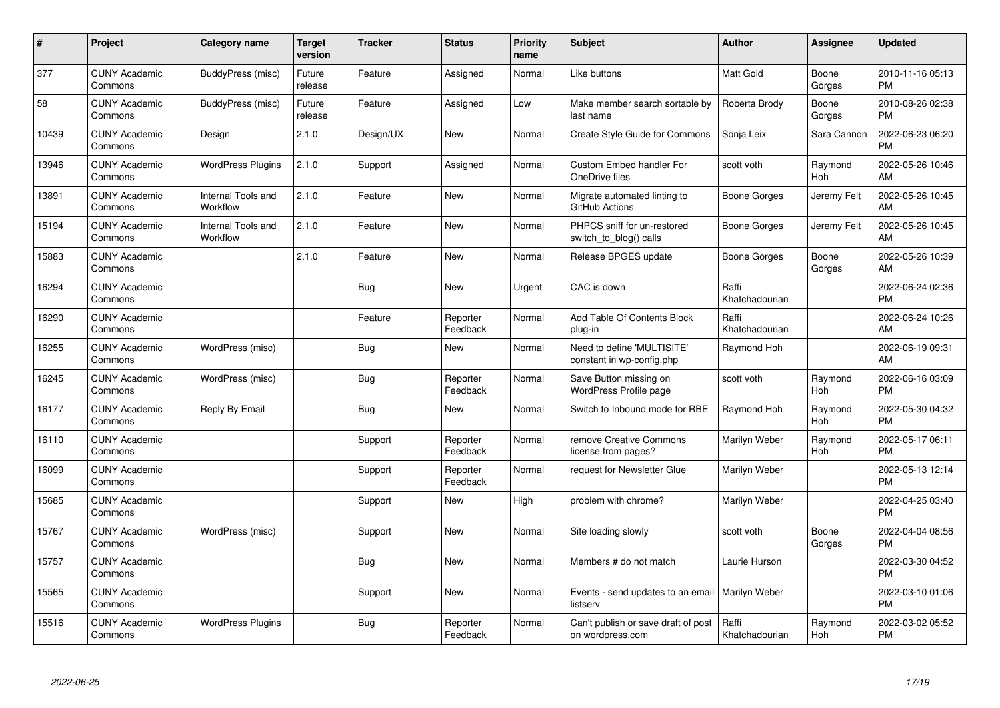| #     | Project                         | <b>Category name</b>           | Target<br>version | <b>Tracker</b> | <b>Status</b>        | <b>Priority</b><br>name | <b>Subject</b>                                          | <b>Author</b>           | <b>Assignee</b>       | <b>Updated</b>                |
|-------|---------------------------------|--------------------------------|-------------------|----------------|----------------------|-------------------------|---------------------------------------------------------|-------------------------|-----------------------|-------------------------------|
| 377   | <b>CUNY Academic</b><br>Commons | BuddyPress (misc)              | Future<br>release | Feature        | Assigned             | Normal                  | Like buttons                                            | <b>Matt Gold</b>        | Boone<br>Gorges       | 2010-11-16 05:13<br><b>PM</b> |
| 58    | <b>CUNY Academic</b><br>Commons | BuddyPress (misc)              | Future<br>release | Feature        | Assigned             | Low                     | Make member search sortable by<br>last name             | Roberta Brody           | Boone<br>Gorges       | 2010-08-26 02:38<br><b>PM</b> |
| 10439 | <b>CUNY Academic</b><br>Commons | Design                         | 2.1.0             | Design/UX      | New                  | Normal                  | Create Style Guide for Commons                          | Sonja Leix              | Sara Cannon           | 2022-06-23 06:20<br><b>PM</b> |
| 13946 | <b>CUNY Academic</b><br>Commons | <b>WordPress Plugins</b>       | 2.1.0             | Support        | Assigned             | Normal                  | <b>Custom Embed handler For</b><br>OneDrive files       | scott voth              | Raymond<br><b>Hoh</b> | 2022-05-26 10:46<br>AM        |
| 13891 | <b>CUNY Academic</b><br>Commons | Internal Tools and<br>Workflow | 2.1.0             | Feature        | <b>New</b>           | Normal                  | Migrate automated linting to<br>GitHub Actions          | Boone Gorges            | Jeremy Felt           | 2022-05-26 10:45<br>AM        |
| 15194 | <b>CUNY Academic</b><br>Commons | Internal Tools and<br>Workflow | 2.1.0             | Feature        | New                  | Normal                  | PHPCS sniff for un-restored<br>switch_to_blog() calls   | Boone Gorges            | Jeremy Felt           | 2022-05-26 10:45<br>AM        |
| 15883 | <b>CUNY Academic</b><br>Commons |                                | 2.1.0             | Feature        | <b>New</b>           | Normal                  | Release BPGES update                                    | Boone Gorges            | Boone<br>Gorges       | 2022-05-26 10:39<br>AM        |
| 16294 | <b>CUNY Academic</b><br>Commons |                                |                   | Bug            | <b>New</b>           | Urgent                  | CAC is down                                             | Raffi<br>Khatchadourian |                       | 2022-06-24 02:36<br><b>PM</b> |
| 16290 | <b>CUNY Academic</b><br>Commons |                                |                   | Feature        | Reporter<br>Feedback | Normal                  | Add Table Of Contents Block<br>plug-in                  | Raffi<br>Khatchadourian |                       | 2022-06-24 10:26<br>AM        |
| 16255 | <b>CUNY Academic</b><br>Commons | WordPress (misc)               |                   | <b>Bug</b>     | <b>New</b>           | Normal                  | Need to define 'MULTISITE'<br>constant in wp-config.php | Raymond Hoh             |                       | 2022-06-19 09:31<br>AM        |
| 16245 | <b>CUNY Academic</b><br>Commons | WordPress (misc)               |                   | <b>Bug</b>     | Reporter<br>Feedback | Normal                  | Save Button missing on<br>WordPress Profile page        | scott voth              | Raymond<br>Hoh        | 2022-06-16 03:09<br><b>PM</b> |
| 16177 | <b>CUNY Academic</b><br>Commons | Reply By Email                 |                   | <b>Bug</b>     | New                  | Normal                  | Switch to Inbound mode for RBE                          | Raymond Hoh             | Raymond<br>Hoh        | 2022-05-30 04:32<br><b>PM</b> |
| 16110 | <b>CUNY Academic</b><br>Commons |                                |                   | Support        | Reporter<br>Feedback | Normal                  | remove Creative Commons<br>license from pages?          | Marilyn Weber           | Raymond<br>Hoh        | 2022-05-17 06:11<br><b>PM</b> |
| 16099 | <b>CUNY Academic</b><br>Commons |                                |                   | Support        | Reporter<br>Feedback | Normal                  | request for Newsletter Glue                             | Marilyn Weber           |                       | 2022-05-13 12:14<br><b>PM</b> |
| 15685 | <b>CUNY Academic</b><br>Commons |                                |                   | Support        | <b>New</b>           | High                    | problem with chrome?                                    | Marilyn Weber           |                       | 2022-04-25 03:40<br><b>PM</b> |
| 15767 | <b>CUNY Academic</b><br>Commons | WordPress (misc)               |                   | Support        | <b>New</b>           | Normal                  | Site loading slowly                                     | scott voth              | Boone<br>Gorges       | 2022-04-04 08:56<br><b>PM</b> |
| 15757 | <b>CUNY Academic</b><br>Commons |                                |                   | Bug            | <b>New</b>           | Normal                  | Members # do not match                                  | Laurie Hurson           |                       | 2022-03-30 04:52<br><b>PM</b> |
| 15565 | <b>CUNY Academic</b><br>Commons |                                |                   | Support        | <b>New</b>           | Normal                  | Events - send updates to an email<br>listserv           | Marilyn Weber           |                       | 2022-03-10 01:06<br><b>PM</b> |
| 15516 | <b>CUNY Academic</b><br>Commons | <b>WordPress Plugins</b>       |                   | <b>Bug</b>     | Reporter<br>Feedback | Normal                  | Can't publish or save draft of post<br>on wordpress.com | Raffi<br>Khatchadourian | Raymond<br>Hoh        | 2022-03-02 05:52<br>PM        |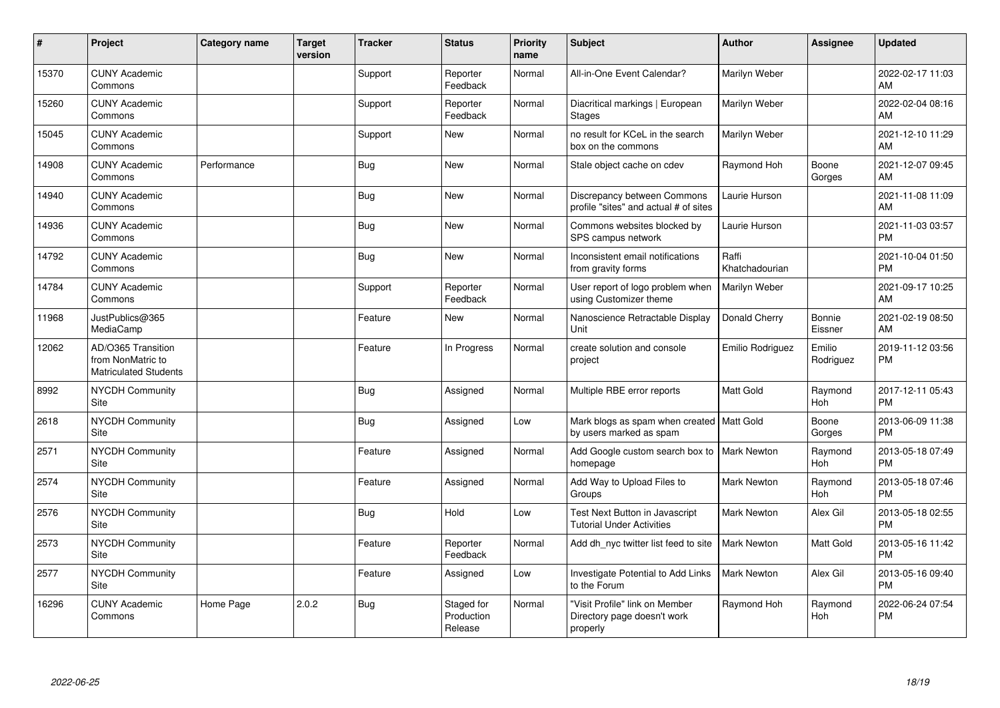| #     | Project                                                                 | <b>Category name</b> | <b>Target</b><br>version | <b>Tracker</b> | <b>Status</b>                       | <b>Priority</b><br>name | <b>Subject</b>                                                            | Author                  | Assignee              | <b>Updated</b>                |
|-------|-------------------------------------------------------------------------|----------------------|--------------------------|----------------|-------------------------------------|-------------------------|---------------------------------------------------------------------------|-------------------------|-----------------------|-------------------------------|
| 15370 | <b>CUNY Academic</b><br>Commons                                         |                      |                          | Support        | Reporter<br>Feedback                | Normal                  | All-in-One Event Calendar?                                                | Marilyn Weber           |                       | 2022-02-17 11:03<br>AM        |
| 15260 | <b>CUNY Academic</b><br>Commons                                         |                      |                          | Support        | Reporter<br>Feedback                | Normal                  | Diacritical markings   European<br><b>Stages</b>                          | Marilyn Weber           |                       | 2022-02-04 08:16<br>AM        |
| 15045 | <b>CUNY Academic</b><br>Commons                                         |                      |                          | Support        | New                                 | Normal                  | no result for KCeL in the search<br>box on the commons                    | Marilyn Weber           |                       | 2021-12-10 11:29<br>AM        |
| 14908 | <b>CUNY Academic</b><br>Commons                                         | Performance          |                          | Bug            | New                                 | Normal                  | Stale object cache on cdev                                                | Raymond Hoh             | Boone<br>Gorges       | 2021-12-07 09:45<br>AM        |
| 14940 | <b>CUNY Academic</b><br>Commons                                         |                      |                          | Bug            | New                                 | Normal                  | Discrepancy between Commons<br>profile "sites" and actual # of sites      | Laurie Hurson           |                       | 2021-11-08 11:09<br>AM        |
| 14936 | <b>CUNY Academic</b><br>Commons                                         |                      |                          | Bug            | <b>New</b>                          | Normal                  | Commons websites blocked by<br>SPS campus network                         | Laurie Hurson           |                       | 2021-11-03 03:57<br><b>PM</b> |
| 14792 | <b>CUNY Academic</b><br>Commons                                         |                      |                          | Bug            | <b>New</b>                          | Normal                  | Inconsistent email notifications<br>from gravity forms                    | Raffi<br>Khatchadourian |                       | 2021-10-04 01:50<br><b>PM</b> |
| 14784 | <b>CUNY Academic</b><br>Commons                                         |                      |                          | Support        | Reporter<br>Feedback                | Normal                  | User report of logo problem when<br>using Customizer theme                | Marilyn Weber           |                       | 2021-09-17 10:25<br>AM        |
| 11968 | JustPublics@365<br>MediaCamp                                            |                      |                          | Feature        | <b>New</b>                          | Normal                  | Nanoscience Retractable Display<br>Unit                                   | Donald Cherry           | Bonnie<br>Eissner     | 2021-02-19 08:50<br>AM        |
| 12062 | AD/O365 Transition<br>from NonMatric to<br><b>Matriculated Students</b> |                      |                          | Feature        | In Progress                         | Normal                  | create solution and console<br>project                                    | Emilio Rodriguez        | Emilio<br>Rodriguez   | 2019-11-12 03:56<br><b>PM</b> |
| 8992  | <b>NYCDH Community</b><br>Site                                          |                      |                          | Bug            | Assigned                            | Normal                  | Multiple RBE error reports                                                | <b>Matt Gold</b>        | Raymond<br><b>Hoh</b> | 2017-12-11 05:43<br><b>PM</b> |
| 2618  | NYCDH Community<br>Site                                                 |                      |                          | <b>Bug</b>     | Assigned                            | Low                     | Mark blogs as spam when created   Matt Gold<br>by users marked as spam    |                         | Boone<br>Gorges       | 2013-06-09 11:38<br><b>PM</b> |
| 2571  | <b>NYCDH Community</b><br>Site                                          |                      |                          | Feature        | Assigned                            | Normal                  | Add Google custom search box to   Mark Newton<br>homepage                 |                         | Raymond<br>Hoh        | 2013-05-18 07:49<br><b>PM</b> |
| 2574  | <b>NYCDH Community</b><br>Site                                          |                      |                          | Feature        | Assigned                            | Normal                  | Add Way to Upload Files to<br>Groups                                      | <b>Mark Newton</b>      | Raymond<br>Hoh        | 2013-05-18 07:46<br><b>PM</b> |
| 2576  | <b>NYCDH Community</b><br>Site                                          |                      |                          | Bug            | Hold                                | Low                     | Test Next Button in Javascript<br><b>Tutorial Under Activities</b>        | <b>Mark Newton</b>      | Alex Gil              | 2013-05-18 02:55<br><b>PM</b> |
| 2573  | NYCDH Community<br>Site                                                 |                      |                          | Feature        | Reporter<br>Feedback                | Normal                  | Add dh nyc twitter list feed to site                                      | <b>Mark Newton</b>      | Matt Gold             | 2013-05-16 11:42<br><b>PM</b> |
| 2577  | NYCDH Community<br>Site                                                 |                      |                          | Feature        | Assigned                            | Low                     | Investigate Potential to Add Links<br>to the Forum                        | <b>Mark Newton</b>      | Alex Gil              | 2013-05-16 09:40<br><b>PM</b> |
| 16296 | <b>CUNY Academic</b><br>Commons                                         | Home Page            | 2.0.2                    | Bug            | Staged for<br>Production<br>Release | Normal                  | "Visit Profile" link on Member<br>Directory page doesn't work<br>properly | Raymond Hoh             | Raymond<br>Hoh        | 2022-06-24 07:54<br><b>PM</b> |